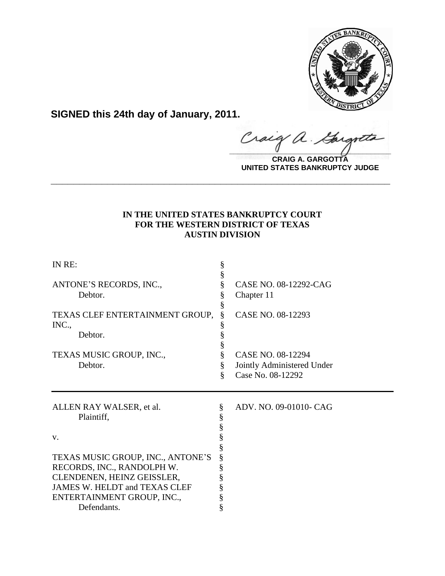

**SIGNED this 24th day of January, 2011.**

Craig a. Gargote

**CRAIG A. GARGOTTA UNITED STATES BANKRUPTCY JUDGE**

# **IN THE UNITED STATES BANKRUPTCY COURT FOR THE WESTERN DISTRICT OF TEXAS AUSTIN DIVISION**

**\_\_\_\_\_\_\_\_\_\_\_\_\_\_\_\_\_\_\_\_\_\_\_\_\_\_\_\_\_\_\_\_\_\_\_\_\_\_\_\_\_\_\_\_\_\_\_\_\_\_\_\_\_\_\_\_\_\_\_\_**

| IN RE:                                                                                                                                                                                                                      | §                     |                                                                      |
|-----------------------------------------------------------------------------------------------------------------------------------------------------------------------------------------------------------------------------|-----------------------|----------------------------------------------------------------------|
| ANTONE'S RECORDS, INC.,<br>Debtor.                                                                                                                                                                                          | §<br>§                | CASE NO. 08-12292-CAG<br>Chapter 11                                  |
| TEXAS CLEF ENTERTAINMENT GROUP,<br>INC.,<br>Debtor.                                                                                                                                                                         | §<br>§                | CASE NO. 08-12293                                                    |
| TEXAS MUSIC GROUP, INC.,<br>Debtor.                                                                                                                                                                                         | §<br>§<br>ş           | CASE NO. 08-12294<br>Jointly Administered Under<br>Case No. 08-12292 |
| ALLEN RAY WALSER, et al.<br>Plaintiff,<br>V.<br>TEXAS MUSIC GROUP, INC., ANTONE'S<br>RECORDS, INC., RANDOLPH W.<br>CLENDENEN, HEINZ GEISSLER,<br>JAMES W. HELDT and TEXAS CLEF<br>ENTERTAINMENT GROUP, INC.,<br>Defendants. | §<br>§<br>§<br>§<br>§ | ADV. NO. 09-01010- CAG                                               |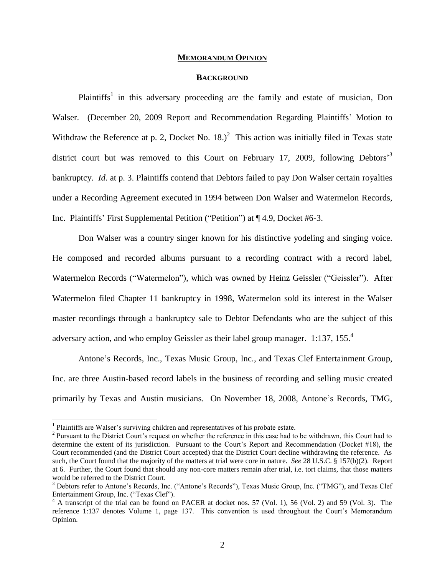#### **MEMORANDUM OPINION**

## **BACKGROUND**

Plaintiffs<sup>1</sup> in this adversary proceeding are the family and estate of musician, Don Walser. (December 20, 2009 Report and Recommendation Regarding Plaintiffs" Motion to Withdraw the Reference at p. 2, Docket No.  $18.<sup>2</sup>$  This action was initially filed in Texas state district court but was removed to this Court on February 17, 2009, following Debtors<sup>3</sup> bankruptcy. *Id.* at p. 3. Plaintiffs contend that Debtors failed to pay Don Walser certain royalties under a Recording Agreement executed in 1994 between Don Walser and Watermelon Records, Inc. Plaintiffs" First Supplemental Petition ("Petition") at ¶ 4.9, Docket #6-3.

Don Walser was a country singer known for his distinctive yodeling and singing voice. He composed and recorded albums pursuant to a recording contract with a record label, Watermelon Records ("Watermelon"), which was owned by Heinz Geissler ("Geissler"). After Watermelon filed Chapter 11 bankruptcy in 1998, Watermelon sold its interest in the Walser master recordings through a bankruptcy sale to Debtor Defendants who are the subject of this adversary action, and who employ Geissler as their label group manager. 1:137, 155.<sup>4</sup>

Antone"s Records, Inc., Texas Music Group, Inc., and Texas Clef Entertainment Group, Inc. are three Austin-based record labels in the business of recording and selling music created primarily by Texas and Austin musicians. On November 18, 2008, Antone"s Records, TMG,

<sup>&</sup>lt;sup>1</sup> Plaintiffs are Walser's surviving children and representatives of his probate estate.

<sup>&</sup>lt;sup>2</sup> Pursuant to the District Court's request on whether the reference in this case had to be withdrawn, this Court had to determine the extent of its jurisdiction. Pursuant to the Court"s Report and Recommendation (Docket #18), the Court recommended (and the District Court accepted) that the District Court decline withdrawing the reference. As such, the Court found that the majority of the matters at trial were core in nature. *See* 28 U.S.C. § 157(b)(2). Report at 6. Further, the Court found that should any non-core matters remain after trial, i.e. tort claims, that those matters would be referred to the District Court.

<sup>&</sup>lt;sup>3</sup> Debtors refer to Antone's Records, Inc. ("Antone's Records"), Texas Music Group, Inc. ("TMG"), and Texas Clef Entertainment Group, Inc. ("Texas Clef").

<sup>4</sup> A transcript of the trial can be found on PACER at docket nos. 57 (Vol. 1), 56 (Vol. 2) and 59 (Vol. 3). The reference 1:137 denotes Volume 1, page 137. This convention is used throughout the Court's Memorandum Opinion.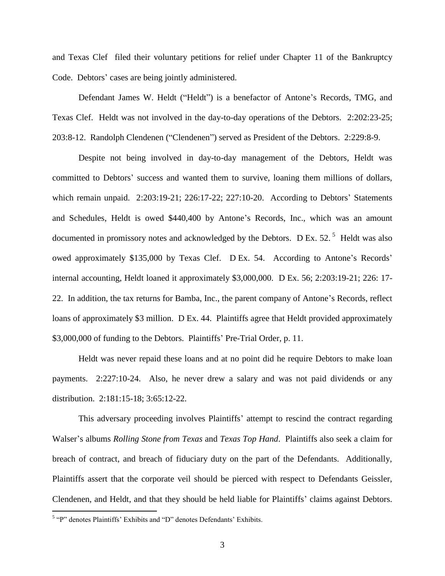and Texas Clef filed their voluntary petitions for relief under Chapter 11 of the Bankruptcy Code. Debtors' cases are being jointly administered.

Defendant James W. Heldt ("Heldt") is a benefactor of Antone"s Records, TMG, and Texas Clef. Heldt was not involved in the day-to-day operations of the Debtors. 2:202:23-25; 203:8-12. Randolph Clendenen ("Clendenen") served as President of the Debtors. 2:229:8-9.

Despite not being involved in day-to-day management of the Debtors, Heldt was committed to Debtors' success and wanted them to survive, loaning them millions of dollars, which remain unpaid. 2:203:19-21; 226:17-22; 227:10-20. According to Debtors' Statements and Schedules, Heldt is owed \$440,400 by Antone"s Records, Inc., which was an amount documented in promissory notes and acknowledged by the Debtors. D Ex. 52.<sup>5</sup> Heldt was also owed approximately \$135,000 by Texas Clef. D Ex. 54. According to Antone's Records' internal accounting, Heldt loaned it approximately \$3,000,000. D Ex. 56; 2:203:19-21; 226: 17- 22. In addition, the tax returns for Bamba, Inc., the parent company of Antone"s Records, reflect loans of approximately \$3 million. D Ex. 44. Plaintiffs agree that Heldt provided approximately \$3,000,000 of funding to the Debtors. Plaintiffs' Pre-Trial Order, p. 11.

Heldt was never repaid these loans and at no point did he require Debtors to make loan payments. 2:227:10-24. Also, he never drew a salary and was not paid dividends or any distribution. 2:181:15-18; 3:65:12-22.

This adversary proceeding involves Plaintiffs" attempt to rescind the contract regarding Walser"s albums *Rolling Stone from Texas* and *Texas Top Hand*. Plaintiffs also seek a claim for breach of contract, and breach of fiduciary duty on the part of the Defendants. Additionally, Plaintiffs assert that the corporate veil should be pierced with respect to Defendants Geissler, Clendenen, and Heldt, and that they should be held liable for Plaintiffs" claims against Debtors.

<sup>&</sup>lt;sup>5</sup> "P" denotes Plaintiffs' Exhibits and "D" denotes Defendants' Exhibits.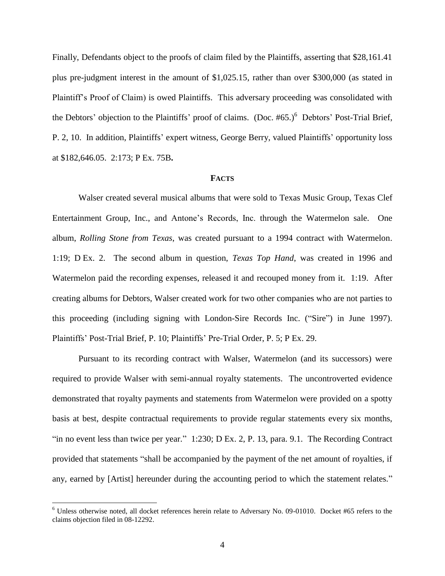Finally, Defendants object to the proofs of claim filed by the Plaintiffs, asserting that \$28,161.41 plus pre-judgment interest in the amount of \$1,025.15, rather than over \$300,000 (as stated in Plaintiff's Proof of Claim) is owed Plaintiffs. This adversary proceeding was consolidated with the Debtors' objection to the Plaintiffs' proof of claims. (Doc.  $#65$ .)<sup>6</sup> Debtors' Post-Trial Brief, P. 2, 10.In addition, Plaintiffs" expert witness, George Berry, valued Plaintiffs" opportunity loss at \$182,646.05. 2:173; P Ex. 75B**.**

#### **FACTS**

Walser created several musical albums that were sold to Texas Music Group, Texas Clef Entertainment Group, Inc., and Antone"s Records, Inc. through the Watermelon sale. One album, *Rolling Stone from Texas*, was created pursuant to a 1994 contract with Watermelon. 1:19; D Ex. 2. The second album in question, *Texas Top Hand*, was created in 1996 and Watermelon paid the recording expenses, released it and recouped money from it. 1:19. After creating albums for Debtors, Walser created work for two other companies who are not parties to this proceeding (including signing with London-Sire Records Inc. ("Sire") in June 1997). Plaintiffs" Post-Trial Brief, P. 10; Plaintiffs" Pre-Trial Order, P. 5; P Ex. 29.

Pursuant to its recording contract with Walser, Watermelon (and its successors) were required to provide Walser with semi-annual royalty statements. The uncontroverted evidence demonstrated that royalty payments and statements from Watermelon were provided on a spotty basis at best, despite contractual requirements to provide regular statements every six months, "in no event less than twice per year." 1:230; D Ex. 2, P. 13, para. 9.1. The Recording Contract provided that statements "shall be accompanied by the payment of the net amount of royalties, if any, earned by [Artist] hereunder during the accounting period to which the statement relates."

<sup>6</sup> Unless otherwise noted, all docket references herein relate to Adversary No. 09-01010. Docket #65 refers to the claims objection filed in 08-12292.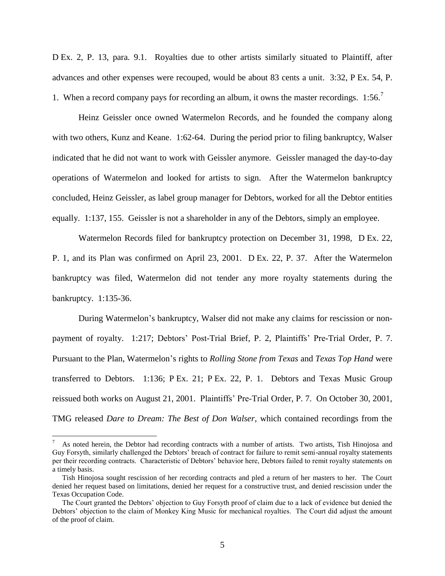D Ex. 2, P. 13, para. 9.1.Royalties due to other artists similarly situated to Plaintiff, after advances and other expenses were recouped, would be about 83 cents a unit. 3:32, P Ex. 54, P. 1. When a record company pays for recording an album, it owns the master recordings.  $1:56$ .

Heinz Geissler once owned Watermelon Records, and he founded the company along with two others, Kunz and Keane. 1:62-64.During the period prior to filing bankruptcy, Walser indicated that he did not want to work with Geissler anymore. Geissler managed the day-to-day operations of Watermelon and looked for artists to sign. After the Watermelon bankruptcy concluded, Heinz Geissler, as label group manager for Debtors, worked for all the Debtor entities equally. 1:137, 155. Geissler is not a shareholder in any of the Debtors, simply an employee.

Watermelon Records filed for bankruptcy protection on December 31, 1998, D Ex. 22, P. 1, and its Plan was confirmed on April 23, 2001. D Ex. 22, P. 37. After the Watermelon bankruptcy was filed, Watermelon did not tender any more royalty statements during the bankruptcy. 1:135-36.

During Watermelon"s bankruptcy, Walser did not make any claims for rescission or nonpayment of royalty. 1:217; Debtors' Post-Trial Brief, P. 2, Plaintiffs' Pre-Trial Order, P. 7. Pursuant to the Plan, Watermelon"s rights to *Rolling Stone from Texas* and *Texas Top Hand* were transferred to Debtors. 1:136; P Ex. 21; P Ex. 22, P. 1.Debtors and Texas Music Group reissued both works on August 21, 2001. Plaintiffs" Pre-Trial Order, P. 7. On October 30, 2001, TMG released *Dare to Dream: The Best of Don Walser*, which contained recordings from the

As noted herein, the Debtor had recording contracts with a number of artists. Two artists, Tish Hinojosa and Guy Forsyth, similarly challenged the Debtors" breach of contract for failure to remit semi-annual royalty statements per their recording contracts. Characteristic of Debtors" behavior here, Debtors failed to remit royalty statements on a timely basis.

Tish Hinojosa sought rescission of her recording contracts and pled a return of her masters to her. The Court denied her request based on limitations, denied her request for a constructive trust, and denied rescission under the Texas Occupation Code.

The Court granted the Debtors" objection to Guy Forsyth proof of claim due to a lack of evidence but denied the Debtors" objection to the claim of Monkey King Music for mechanical royalties. The Court did adjust the amount of the proof of claim.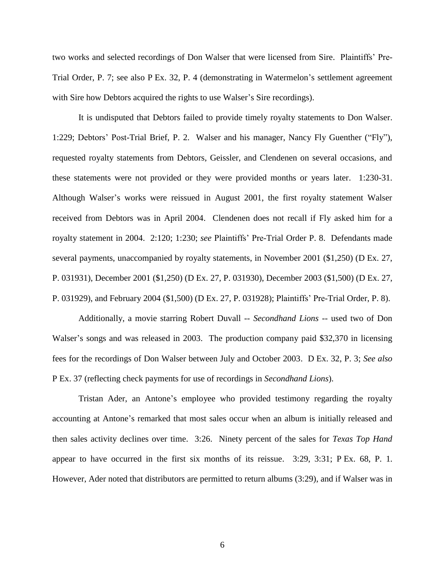two works and selected recordings of Don Walser that were licensed from Sire. Plaintiffs" Pre-Trial Order, P. 7; see also P Ex. 32, P. 4 (demonstrating in Watermelon"s settlement agreement with Sire how Debtors acquired the rights to use Walser's Sire recordings).

It is undisputed that Debtors failed to provide timely royalty statements to Don Walser. 1:229; Debtors" Post-Trial Brief, P. 2. Walser and his manager, Nancy Fly Guenther ("Fly"), requested royalty statements from Debtors, Geissler, and Clendenen on several occasions, and these statements were not provided or they were provided months or years later. 1:230-31. Although Walser's works were reissued in August 2001, the first royalty statement Walser received from Debtors was in April 2004. Clendenen does not recall if Fly asked him for a royalty statement in 2004. 2:120; 1:230; *see* Plaintiffs" Pre-Trial Order P. 8.Defendants made several payments, unaccompanied by royalty statements, in November 2001 (\$1,250) (D Ex. 27, P. 031931), December 2001 (\$1,250) (D Ex. 27, P. 031930), December 2003 (\$1,500) (D Ex. 27, P. 031929), and February 2004 (\$1,500) (D Ex. 27, P. 031928); Plaintiffs" Pre-Trial Order, P. 8).

Additionally, a movie starring Robert Duvall -- *Secondhand Lions* -- used two of Don Walser's songs and was released in 2003. The production company paid \$32,370 in licensing fees for the recordings of Don Walser between July and October 2003. D Ex. 32, P. 3; *See also*  P Ex. 37 (reflecting check payments for use of recordings in *Secondhand Lions*).

Tristan Ader, an Antone"s employee who provided testimony regarding the royalty accounting at Antone"s remarked that most sales occur when an album is initially released and then sales activity declines over time. 3:26. Ninety percent of the sales for *Texas Top Hand*  appear to have occurred in the first six months of its reissue. 3:29, 3:31; P Ex. 68, P. 1. However, Ader noted that distributors are permitted to return albums (3:29), and if Walser was in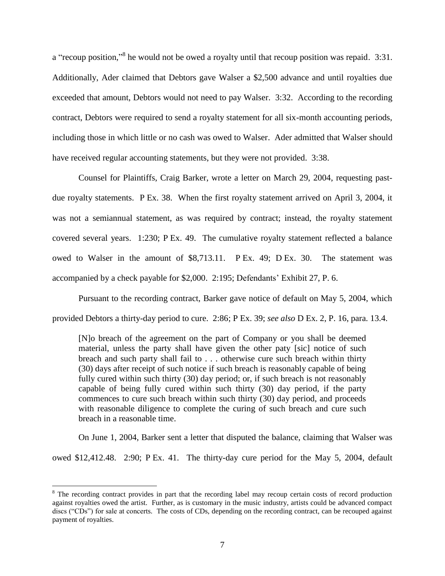a "recoup position,"<sup>8</sup> he would not be owed a royalty until that recoup position was repaid.  $3:31$ . Additionally, Ader claimed that Debtors gave Walser a \$2,500 advance and until royalties due exceeded that amount, Debtors would not need to pay Walser. 3:32. According to the recording contract, Debtors were required to send a royalty statement for all six-month accounting periods, including those in which little or no cash was owed to Walser. Ader admitted that Walser should have received regular accounting statements, but they were not provided. 3:38.

Counsel for Plaintiffs, Craig Barker, wrote a letter on March 29, 2004, requesting pastdue royalty statements. P Ex. 38. When the first royalty statement arrived on April 3, 2004, it was not a semiannual statement, as was required by contract; instead, the royalty statement covered several years. 1:230; P Ex. 49.The cumulative royalty statement reflected a balance owed to Walser in the amount of \$8,713.11. P Ex. 49; D Ex. 30. The statement was accompanied by a check payable for \$2,000. 2:195; Defendants" Exhibit 27, P. 6.

Pursuant to the recording contract, Barker gave notice of default on May 5, 2004, which provided Debtors a thirty-day period to cure. 2:86; P Ex. 39; *see also* D Ex. 2, P. 16, para. 13.4.

[N]o breach of the agreement on the part of Company or you shall be deemed material, unless the party shall have given the other paty [sic] notice of such breach and such party shall fail to . . . otherwise cure such breach within thirty (30) days after receipt of such notice if such breach is reasonably capable of being fully cured within such thirty (30) day period; or, if such breach is not reasonably capable of being fully cured within such thirty (30) day period, if the party commences to cure such breach within such thirty (30) day period, and proceeds with reasonable diligence to complete the curing of such breach and cure such breach in a reasonable time.

On June 1, 2004, Barker sent a letter that disputed the balance, claiming that Walser was owed \$12,412.48. 2:90; P Ex. 41.The thirty-day cure period for the May 5, 2004, default

<sup>&</sup>lt;sup>8</sup> The recording contract provides in part that the recording label may recoup certain costs of record production against royalties owed the artist. Further, as is customary in the music industry, artists could be advanced compact discs ("CDs") for sale at concerts. The costs of CDs, depending on the recording contract, can be recouped against payment of royalties.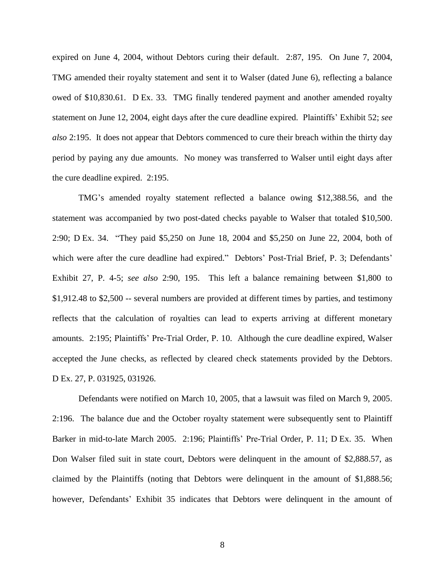expired on June 4, 2004, without Debtors curing their default. 2:87, 195.On June 7, 2004, TMG amended their royalty statement and sent it to Walser (dated June 6), reflecting a balance owed of \$10,830.61. D Ex. 33.TMG finally tendered payment and another amended royalty statement on June 12, 2004, eight days after the cure deadline expired. Plaintiffs" Exhibit 52; *see also* 2:195. It does not appear that Debtors commenced to cure their breach within the thirty day period by paying any due amounts. No money was transferred to Walser until eight days after the cure deadline expired. 2:195.

TMG"s amended royalty statement reflected a balance owing \$12,388.56, and the statement was accompanied by two post-dated checks payable to Walser that totaled \$10,500. 2:90; D Ex. 34. "They paid \$5,250 on June 18, 2004 and \$5,250 on June 22, 2004, both of which were after the cure deadline had expired." Debtors' Post-Trial Brief, P. 3; Defendants' Exhibit 27, P. 4-5; *see also* 2:90, 195. This left a balance remaining between \$1,800 to \$1,912.48 to \$2,500 -- several numbers are provided at different times by parties, and testimony reflects that the calculation of royalties can lead to experts arriving at different monetary amounts. 2:195; Plaintiffs" Pre-Trial Order, P. 10. Although the cure deadline expired, Walser accepted the June checks, as reflected by cleared check statements provided by the Debtors. D Ex. 27, P. 031925, 031926.

Defendants were notified on March 10, 2005, that a lawsuit was filed on March 9, 2005. 2:196. The balance due and the October royalty statement were subsequently sent to Plaintiff Barker in mid-to-late March 2005. 2:196; Plaintiffs' Pre-Trial Order, P. 11; D Ex. 35. When Don Walser filed suit in state court, Debtors were delinquent in the amount of \$2,888.57, as claimed by the Plaintiffs (noting that Debtors were delinquent in the amount of \$1,888.56; however, Defendants' Exhibit 35 indicates that Debtors were delinquent in the amount of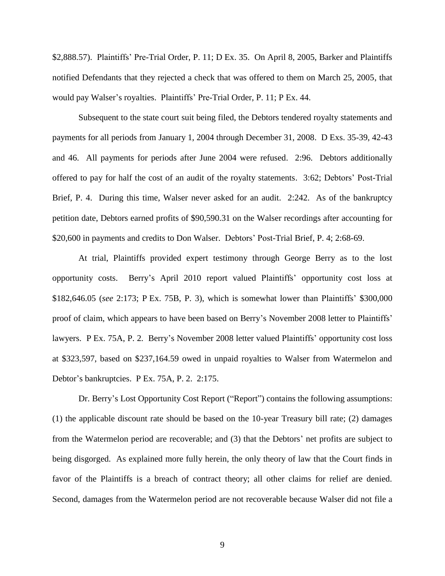\$2,888.57). Plaintiffs' Pre-Trial Order, P. 11; D Ex. 35. On April 8, 2005, Barker and Plaintiffs notified Defendants that they rejected a check that was offered to them on March 25, 2005, that would pay Walser's royalties. Plaintiffs' Pre-Trial Order, P. 11; P Ex. 44.

Subsequent to the state court suit being filed, the Debtors tendered royalty statements and payments for all periods from January 1, 2004 through December 31, 2008. D Exs. 35-39, 42-43 and 46. All payments for periods after June 2004 were refused. 2:96. Debtors additionally offered to pay for half the cost of an audit of the royalty statements. 3:62; Debtors" Post-Trial Brief, P. 4. During this time, Walser never asked for an audit. 2:242. As of the bankruptcy petition date, Debtors earned profits of \$90,590.31 on the Walser recordings after accounting for \$20,600 in payments and credits to Don Walser. Debtors' Post-Trial Brief, P. 4; 2:68-69.

At trial, Plaintiffs provided expert testimony through George Berry as to the lost opportunity costs. Berry"s April 2010 report valued Plaintiffs" opportunity cost loss at \$182,646.05 (*see* 2:173; P Ex. 75B, P. 3), which is somewhat lower than Plaintiffs" \$300,000 proof of claim, which appears to have been based on Berry"s November 2008 letter to Plaintiffs" lawyers. P Ex. 75A, P. 2.Berry"s November 2008 letter valued Plaintiffs" opportunity cost loss at \$323,597, based on \$237,164.59 owed in unpaid royalties to Walser from Watermelon and Debtor"s bankruptcies. P Ex. 75A, P. 2. 2:175.

Dr. Berry"s Lost Opportunity Cost Report ("Report") contains the following assumptions: (1) the applicable discount rate should be based on the 10-year Treasury bill rate; (2) damages from the Watermelon period are recoverable; and (3) that the Debtors" net profits are subject to being disgorged. As explained more fully herein, the only theory of law that the Court finds in favor of the Plaintiffs is a breach of contract theory; all other claims for relief are denied. Second, damages from the Watermelon period are not recoverable because Walser did not file a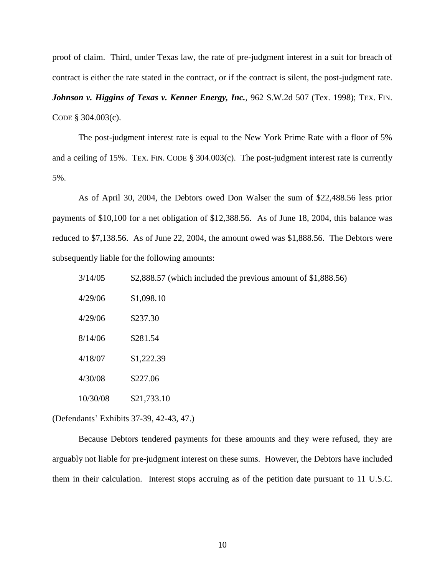proof of claim. Third, under Texas law, the rate of pre-judgment interest in a suit for breach of contract is either the rate stated in the contract, or if the contract is silent, the post-judgment rate.

*Johnson v. Higgins of Texas v. Kenner Energy, Inc.*, 962 S.W.2d 507 (Tex. 1998); TEX. FIN. CODE § 304.003(c).

The post-judgment interest rate is equal to the New York Prime Rate with a floor of 5% and a ceiling of 15%. TEX. FIN. CODE § 304.003(c). The post-judgment interest rate is currently 5%.

As of April 30, 2004, the Debtors owed Don Walser the sum of \$22,488.56 less prior payments of \$10,100 for a net obligation of \$12,388.56. As of June 18, 2004, this balance was reduced to \$7,138.56. As of June 22, 2004, the amount owed was \$1,888.56. The Debtors were subsequently liable for the following amounts:

| 3/14/05<br>\$2,888.57 (which included the previous amount of $$1,888.56$ ) |  |
|----------------------------------------------------------------------------|--|
|----------------------------------------------------------------------------|--|

| 4/29/06  | \$1,098.10  |
|----------|-------------|
| 4/29/06  | \$237.30    |
| 8/14/06  | \$281.54    |
| 4/18/07  | \$1,222.39  |
| 4/30/08  | \$227.06    |
| 10/30/08 | \$21,733.10 |

(Defendants" Exhibits 37-39, 42-43, 47.)

Because Debtors tendered payments for these amounts and they were refused, they are arguably not liable for pre-judgment interest on these sums. However, the Debtors have included them in their calculation. Interest stops accruing as of the petition date pursuant to 11 U.S.C.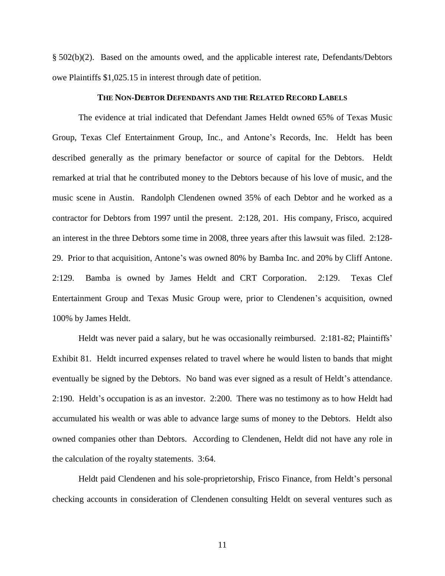§ 502(b)(2). Based on the amounts owed, and the applicable interest rate, Defendants/Debtors owe Plaintiffs \$1,025.15 in interest through date of petition.

#### **THE NON-DEBTOR DEFENDANTS AND THE RELATED RECORD LABELS**

The evidence at trial indicated that Defendant James Heldt owned 65% of Texas Music Group, Texas Clef Entertainment Group, Inc., and Antone"s Records, Inc. Heldt has been described generally as the primary benefactor or source of capital for the Debtors. Heldt remarked at trial that he contributed money to the Debtors because of his love of music, and the music scene in Austin. Randolph Clendenen owned 35% of each Debtor and he worked as a contractor for Debtors from 1997 until the present. 2:128, 201. His company, Frisco, acquired an interest in the three Debtors some time in 2008, three years after this lawsuit was filed. 2:128- 29.Prior to that acquisition, Antone"s was owned 80% by Bamba Inc. and 20% by Cliff Antone. 2:129.Bamba is owned by James Heldt and CRT Corporation. 2:129.Texas Clef Entertainment Group and Texas Music Group were, prior to Clendenen"s acquisition, owned 100% by James Heldt.

Heldt was never paid a salary, but he was occasionally reimbursed. 2:181-82; Plaintiffs' Exhibit 81. Heldt incurred expenses related to travel where he would listen to bands that might eventually be signed by the Debtors. No band was ever signed as a result of Heldt's attendance. 2:190. Heldt"s occupation is as an investor. 2:200.There was no testimony as to how Heldt had accumulated his wealth or was able to advance large sums of money to the Debtors.Heldt also owned companies other than Debtors. According to Clendenen, Heldt did not have any role in the calculation of the royalty statements. 3:64.

Heldt paid Clendenen and his sole-proprietorship, Frisco Finance, from Heldt"s personal checking accounts in consideration of Clendenen consulting Heldt on several ventures such as

11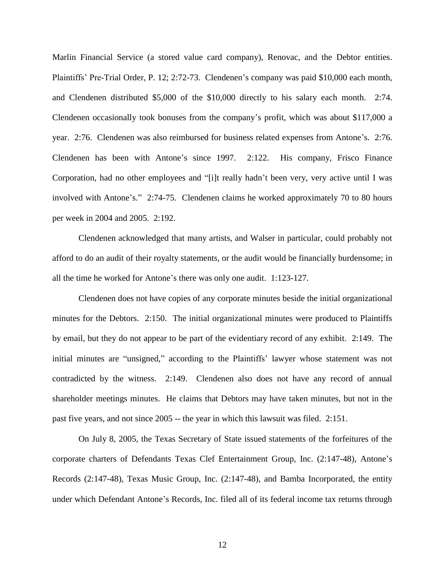Marlin Financial Service (a stored value card company), Renovac, and the Debtor entities. Plaintiffs" Pre-Trial Order, P. 12; 2:72-73. Clendenen"s company was paid \$10,000 each month, and Clendenen distributed \$5,000 of the \$10,000 directly to his salary each month. 2:74. Clendenen occasionally took bonuses from the company"s profit, which was about \$117,000 a year. 2:76. Clendenen was also reimbursed for business related expenses from Antone"s. 2:76. Clendenen has been with Antone"s since 1997. 2:122.His company, Frisco Finance Corporation, had no other employees and "[i]t really hadn"t been very, very active until I was involved with Antone's." 2:74-75. Clendenen claims he worked approximately 70 to 80 hours per week in 2004 and 2005. 2:192.

Clendenen acknowledged that many artists, and Walser in particular, could probably not afford to do an audit of their royalty statements, or the audit would be financially burdensome; in all the time he worked for Antone"s there was only one audit. 1:123-127.

Clendenen does not have copies of any corporate minutes beside the initial organizational minutes for the Debtors. 2:150.The initial organizational minutes were produced to Plaintiffs by email, but they do not appear to be part of the evidentiary record of any exhibit. 2:149. The initial minutes are "unsigned," according to the Plaintiffs' lawyer whose statement was not contradicted by the witness. 2:149.Clendenen also does not have any record of annual shareholder meetings minutes. He claims that Debtors may have taken minutes, but not in the past five years, and not since 2005 -- the year in which this lawsuit was filed. 2:151.

On July 8, 2005, the Texas Secretary of State issued statements of the forfeitures of the corporate charters of Defendants Texas Clef Entertainment Group, Inc. (2:147-48), Antone"s Records (2:147-48), Texas Music Group, Inc. (2:147-48), and Bamba Incorporated, the entity under which Defendant Antone"s Records, Inc. filed all of its federal income tax returns through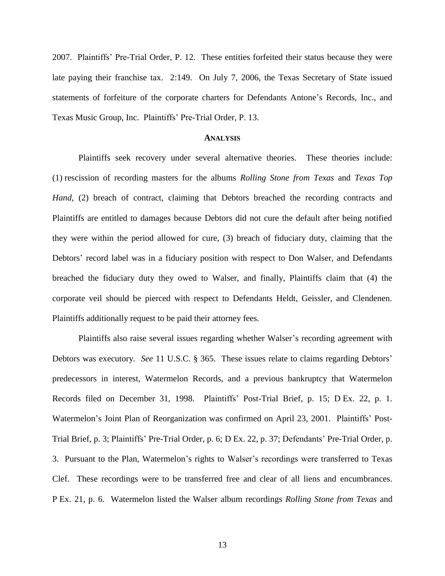2007. Plaintiffs" Pre-Trial Order, P. 12.These entities forfeited their status because they were late paying their franchise tax. 2:149.On July 7, 2006, the Texas Secretary of State issued statements of forfeiture of the corporate charters for Defendants Antone"s Records, Inc., and Texas Music Group, Inc. Plaintiffs" Pre-Trial Order, P. 13.

#### **ANALYSIS**

Plaintiffs seek recovery under several alternative theories. These theories include: (1) rescission of recording masters for the albums *Rolling Stone from Texas* and *Texas Top Hand,* (2) breach of contract, claiming that Debtors breached the recording contracts and Plaintiffs are entitled to damages because Debtors did not cure the default after being notified they were within the period allowed for cure, (3) breach of fiduciary duty, claiming that the Debtors' record label was in a fiduciary position with respect to Don Walser, and Defendants breached the fiduciary duty they owed to Walser, and finally, Plaintiffs claim that (4) the corporate veil should be pierced with respect to Defendants Heldt, Geissler, and Clendenen. Plaintiffs additionally request to be paid their attorney fees.

Plaintiffs also raise several issues regarding whether Walser"s recording agreement with Debtors was executory. *See* 11 U.S.C. § 365. These issues relate to claims regarding Debtors" predecessors in interest, Watermelon Records, and a previous bankruptcy that Watermelon Records filed on December 31, 1998. Plaintiffs" Post-Trial Brief, p. 15; D Ex. 22, p. 1. Watermelon's Joint Plan of Reorganization was confirmed on April 23, 2001. Plaintiffs' Post-Trial Brief, p. 3; Plaintiffs" Pre-Trial Order, p. 6; D Ex. 22, p. 37; Defendants" Pre-Trial Order, p. 3. Pursuant to the Plan, Watermelon"s rights to Walser"s recordings were transferred to Texas Clef. These recordings were to be transferred free and clear of all liens and encumbrances. P Ex. 21, p. 6.Watermelon listed the Walser album recordings *Rolling Stone from Texas* and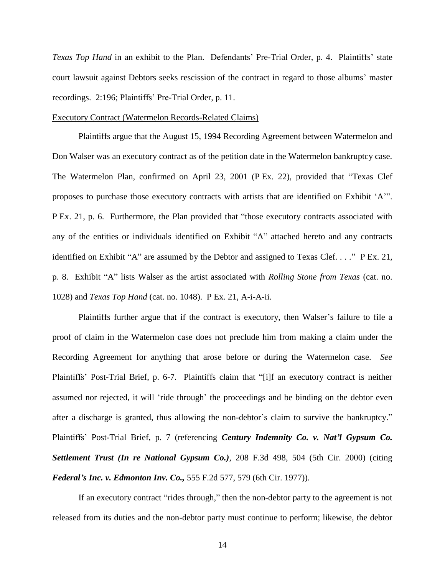*Texas Top Hand* in an exhibit to the Plan. Defendants" Pre-Trial Order, p. 4. Plaintiffs" state court lawsuit against Debtors seeks rescission of the contract in regard to those albums" master recordings. 2:196; Plaintiffs' Pre-Trial Order, p. 11.

### Executory Contract (Watermelon Records-Related Claims)

Plaintiffs argue that the August 15, 1994 Recording Agreement between Watermelon and Don Walser was an executory contract as of the petition date in the Watermelon bankruptcy case. The Watermelon Plan, confirmed on April 23, 2001 (P Ex. 22), provided that "Texas Clef proposes to purchase those executory contracts with artists that are identified on Exhibit "A"". P Ex. 21, p. 6.Furthermore, the Plan provided that "those executory contracts associated with any of the entities or individuals identified on Exhibit "A" attached hereto and any contracts identified on Exhibit "A" are assumed by the Debtor and assigned to Texas Clef. . . ." P Ex. 21, p. 8.Exhibit "A" lists Walser as the artist associated with *Rolling Stone from Texas* (cat. no. 1028) and *Texas Top Hand* (cat. no. 1048). P Ex. 21, A-i-A-ii.

Plaintiffs further argue that if the contract is executory, then Walser's failure to file a proof of claim in the Watermelon case does not preclude him from making a claim under the Recording Agreement for anything that arose before or during the Watermelon case. *See* Plaintiffs" Post-Trial Brief, p. 6-7.Plaintiffs claim that "[i]f an executory contract is neither assumed nor rejected, it will "ride through" the proceedings and be binding on the debtor even after a discharge is granted, thus allowing the non-debtor's claim to survive the bankruptcy." Plaintiffs" Post-Trial Brief, p. 7 (referencing *Century Indemnity Co. v. Nat'l Gypsum Co. Settlement Trust (In re National Gypsum Co.)*, 208 F.3d 498, 504 (5th Cir. 2000) (citing *Federal's Inc. v. Edmonton Inv. Co.,* 555 F.2d 577, 579 (6th Cir. 1977)).

If an executory contract "rides through," then the non-debtor party to the agreement is not released from its duties and the non-debtor party must continue to perform; likewise, the debtor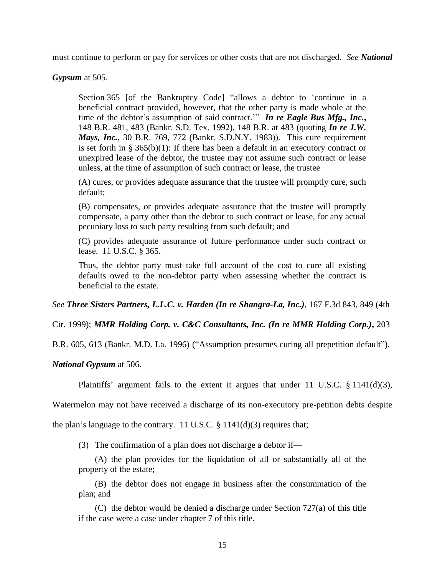must continue to perform or pay for services or other costs that are not discharged. *See National* 

*Gypsum* at 505.

Section 365 [of the Bankruptcy Code] "allows a debtor to "continue in a beneficial contract provided, however, that the other party is made whole at the time of the debtor's assumption of said contract." *In re Eagle Bus Mfg., Inc.*, 148 B.R. 481, 483 (Bankr. S.D. Tex. 1992), 148 B.R. at 483 (quoting *In re J.W. Mays, Inc.*, 30 B.R. 769, 772 (Bankr. S.D.N.Y. 1983)). This cure requirement is set forth in § 365(b)(1): If there has been a default in an executory contract or unexpired lease of the debtor, the trustee may not assume such contract or lease unless, at the time of assumption of such contract or lease, the trustee

(A) cures, or provides adequate assurance that the trustee will promptly cure, such default;

(B) compensates, or provides adequate assurance that the trustee will promptly compensate, a party other than the debtor to such contract or lease, for any actual pecuniary loss to such party resulting from such default; and

(C) provides adequate assurance of future performance under such contract or lease. 11 U.S.C. § 365.

Thus, the debtor party must take full account of the cost to cure all existing defaults owed to the non-debtor party when assessing whether the contract is beneficial to the estate.

*See Three Sisters Partners, L.L.C. v. Harden (In re Shangra-La, Inc.)*, 167 F.3d 843, 849 (4th

Cir. 1999); *MMR Holding Corp. v. C&C Consultants, Inc. (In re MMR Holding Corp.)***,** 203

B.R. 605, 613 (Bankr. M.D. La. 1996) ("Assumption presumes curing all prepetition default").

*National Gypsum* at 506.

Plaintiffs' argument fails to the extent it argues that under 11 U.S.C.  $\S$  1141(d)(3),

Watermelon may not have received a discharge of its non-executory pre-petition debts despite

the plan's language to the contrary. 11 U.S.C.  $\S$  1141(d)(3) requires that;

(3) The confirmation of a plan does not discharge a debtor if—

(A) the plan provides for the liquidation of all or substantially all of the property of the estate;

(B) the debtor does not engage in business after the consummation of the plan; and

(C) the debtor would be denied a discharge under Section 727(a) of this title if the case were a case under chapter 7 of this title.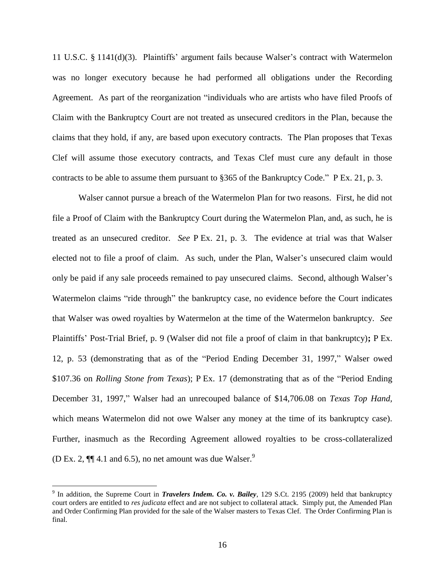11 U.S.C. § 1141(d)(3). Plaintiffs" argument fails because Walser"s contract with Watermelon was no longer executory because he had performed all obligations under the Recording Agreement. As part of the reorganization "individuals who are artists who have filed Proofs of Claim with the Bankruptcy Court are not treated as unsecured creditors in the Plan, because the claims that they hold, if any, are based upon executory contracts. The Plan proposes that Texas Clef will assume those executory contracts, and Texas Clef must cure any default in those contracts to be able to assume them pursuant to §365 of the Bankruptcy Code." P Ex. 21, p. 3.

Walser cannot pursue a breach of the Watermelon Plan for two reasons. First, he did not file a Proof of Claim with the Bankruptcy Court during the Watermelon Plan, and, as such, he is treated as an unsecured creditor. *See* P Ex. 21, p. 3.The evidence at trial was that Walser elected not to file a proof of claim. As such, under the Plan, Walser's unsecured claim would only be paid if any sale proceeds remained to pay unsecured claims. Second, although Walser"s Watermelon claims "ride through" the bankruptcy case, no evidence before the Court indicates that Walser was owed royalties by Watermelon at the time of the Watermelon bankruptcy. *See*  Plaintiffs" Post-Trial Brief, p. 9 (Walser did not file a proof of claim in that bankruptcy)**;** P Ex. 12, p. 53 (demonstrating that as of the "Period Ending December 31, 1997," Walser owed \$107.36 on *Rolling Stone from Texas*); P Ex. 17 (demonstrating that as of the "Period Ending December 31, 1997," Walser had an unrecouped balance of \$14,706.08 on *Texas Top Hand,*  which means Watermelon did not owe Walser any money at the time of its bankruptcy case). Further, inasmuch as the Recording Agreement allowed royalties to be cross-collateralized (D Ex. 2,  $\P$  $\parallel$  4.1 and 6.5), no net amount was due Walser.<sup>9</sup>

<sup>9</sup> In addition, the Supreme Court in *Travelers Indem. Co. v. Bailey*, 129 S.Ct. 2195 (2009) held that bankruptcy court orders are entitled to *res judicata* effect and are not subject to collateral attack. Simply put, the Amended Plan and Order Confirming Plan provided for the sale of the Walser masters to Texas Clef. The Order Confirming Plan is final.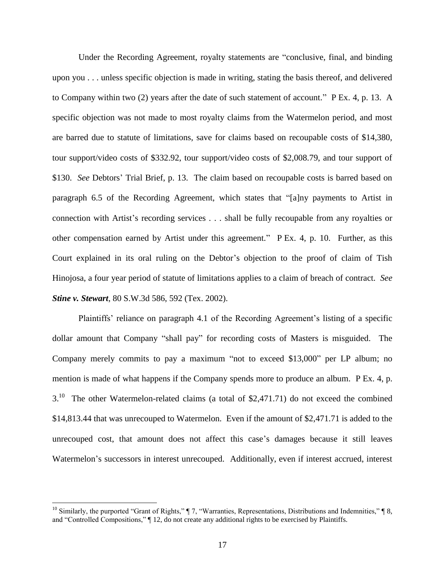Under the Recording Agreement, royalty statements are "conclusive, final, and binding upon you . . . unless specific objection is made in writing, stating the basis thereof, and delivered to Company within two (2) years after the date of such statement of account." P Ex. 4, p. 13.A specific objection was not made to most royalty claims from the Watermelon period, and most are barred due to statute of limitations, save for claims based on recoupable costs of \$14,380, tour support/video costs of \$332.92, tour support/video costs of \$2,008.79, and tour support of \$130. *See* Debtors' Trial Brief, p. 13. The claim based on recoupable costs is barred based on paragraph 6.5 of the Recording Agreement, which states that "[a]ny payments to Artist in connection with Artist"s recording services . . . shall be fully recoupable from any royalties or other compensation earned by Artist under this agreement." P Ex. 4, p. 10.Further, as this Court explained in its oral ruling on the Debtor"s objection to the proof of claim of Tish Hinojosa, a four year period of statute of limitations applies to a claim of breach of contract. *See Stine v. Stewart*, 80 S.W.3d 586, 592 (Tex. 2002).

Plaintiffs' reliance on paragraph 4.1 of the Recording Agreement's listing of a specific dollar amount that Company "shall pay" for recording costs of Masters is misguided. The Company merely commits to pay a maximum "not to exceed \$13,000" per LP album; no mention is made of what happens if the Company spends more to produce an album. P Ex. 4, p. 3.<sup>10</sup> The other Watermelon-related claims (a total of \$2,471.71) do not exceed the combined \$14,813.44 that was unrecouped to Watermelon. Even if the amount of \$2,471.71 is added to the unrecouped cost, that amount does not affect this case's damages because it still leaves Watermelon's successors in interest unrecouped. Additionally, even if interest accrued, interest

<sup>&</sup>lt;sup>10</sup> Similarly, the purported "Grant of Rights,"  $\P$  7, "Warranties, Representations, Distributions and Indemnities,"  $\P$  8, and "Controlled Compositions," ¶ 12, do not create any additional rights to be exercised by Plaintiffs.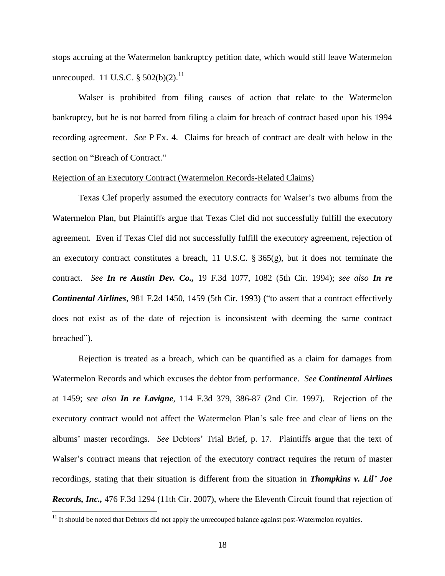stops accruing at the Watermelon bankruptcy petition date, which would still leave Watermelon unrecouped. 11 U.S.C.  $\S 502(b)(2)$ .<sup>11</sup>

Walser is prohibited from filing causes of action that relate to the Watermelon bankruptcy, but he is not barred from filing a claim for breach of contract based upon his 1994 recording agreement. *See* P Ex. 4.Claims for breach of contract are dealt with below in the section on "Breach of Contract."

#### Rejection of an Executory Contract (Watermelon Records-Related Claims)

Texas Clef properly assumed the executory contracts for Walser"s two albums from the Watermelon Plan, but Plaintiffs argue that Texas Clef did not successfully fulfill the executory agreement. Even if Texas Clef did not successfully fulfill the executory agreement, rejection of an executory contract constitutes a breach, 11 U.S.C.  $\S 365(g)$ , but it does not terminate the contract. *See In re Austin Dev. Co.,* 19 F.3d 1077, 1082 (5th Cir. 1994); *see also In re Continental Airlines,* 981 F.2d 1450, 1459 (5th Cir. 1993) ("to assert that a contract effectively does not exist as of the date of rejection is inconsistent with deeming the same contract breached").

Rejection is treated as a breach, which can be quantified as a claim for damages from Watermelon Records and which excuses the debtor from performance. *See Continental Airlines* at 1459; *see also In re Lavigne*, 114 F.3d 379, 386-87 (2nd Cir. 1997). Rejection of the executory contract would not affect the Watermelon Plan"s sale free and clear of liens on the albums" master recordings. *See* Debtors" Trial Brief, p. 17.Plaintiffs argue that the text of Walser's contract means that rejection of the executory contract requires the return of master recordings, stating that their situation is different from the situation in *Thompkins v. Lil' Joe Records, Inc.,* 476 F.3d 1294 (11th Cir. 2007), where the Eleventh Circuit found that rejection of

 $11$  It should be noted that Debtors did not apply the unrecouped balance against post-Watermelon royalties.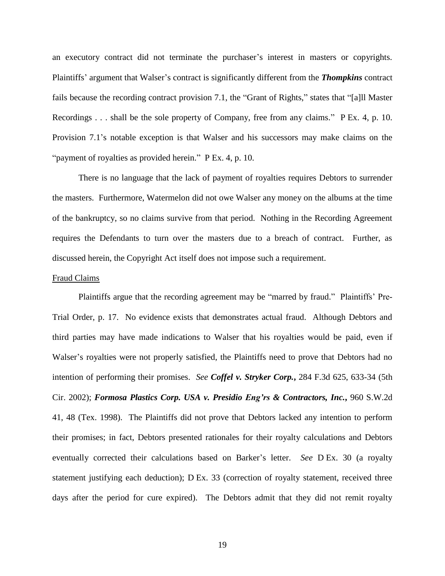an executory contract did not terminate the purchaser"s interest in masters or copyrights. Plaintiffs' argument that Walser's contract is significantly different from the *Thompkins* contract fails because the recording contract provision 7.1, the "Grant of Rights," states that "[a]ll Master Recordings . . . shall be the sole property of Company, free from any claims." P Ex. 4, p. 10. Provision 7.1"s notable exception is that Walser and his successors may make claims on the "payment of royalties as provided herein." P Ex. 4, p. 10.

There is no language that the lack of payment of royalties requires Debtors to surrender the masters. Furthermore, Watermelon did not owe Walser any money on the albums at the time of the bankruptcy, so no claims survive from that period. Nothing in the Recording Agreement requires the Defendants to turn over the masters due to a breach of contract. Further, as discussed herein, the Copyright Act itself does not impose such a requirement.

#### Fraud Claims

Plaintiffs argue that the recording agreement may be "marred by fraud." Plaintiffs' Pre-Trial Order, p. 17.No evidence exists that demonstrates actual fraud. Although Debtors and third parties may have made indications to Walser that his royalties would be paid, even if Walser's royalties were not properly satisfied, the Plaintiffs need to prove that Debtors had no intention of performing their promises. *See Coffel v. Stryker Corp.***,** 284 F.3d 625, 633-34 (5th Cir. 2002); *Formosa Plastics Corp. USA v. Presidio Eng'rs & Contractors, Inc.***,** 960 S.W.2d 41, 48 (Tex. 1998). The Plaintiffs did not prove that Debtors lacked any intention to perform their promises; in fact, Debtors presented rationales for their royalty calculations and Debtors eventually corrected their calculations based on Barker's letter. *See* D Ex. 30 (a royalty statement justifying each deduction); D Ex. 33 (correction of royalty statement, received three days after the period for cure expired). The Debtors admit that they did not remit royalty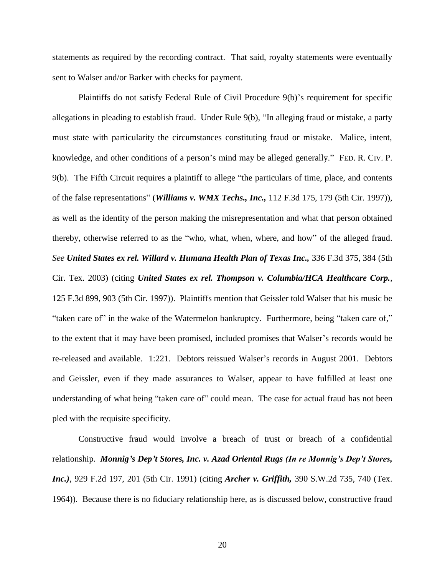statements as required by the recording contract. That said, royalty statements were eventually sent to Walser and/or Barker with checks for payment.

Plaintiffs do not satisfy Federal Rule of Civil Procedure 9(b)"s requirement for specific allegations in pleading to establish fraud. Under Rule 9(b), "In alleging fraud or mistake, a party must state with particularity the circumstances constituting fraud or mistake. Malice, intent, knowledge, and other conditions of a person's mind may be alleged generally." FED. R. CIV. P. 9(b).The Fifth Circuit requires a plaintiff to allege "the particulars of time, place, and contents of the false representations" (*Williams v. WMX Techs., Inc.,* 112 F.3d 175, 179 (5th Cir. 1997)), as well as the identity of the person making the misrepresentation and what that person obtained thereby, otherwise referred to as the "who, what, when, where, and how" of the alleged fraud. *See United States ex rel. Willard v. Humana Health Plan of Texas Inc.,* 336 F.3d 375, 384 (5th Cir. Tex. 2003) (citing *United States ex rel. Thompson v. Columbia/HCA Healthcare Corp.*, 125 F.3d 899, 903 (5th Cir. 1997)). Plaintiffs mention that Geissler told Walser that his music be "taken care of" in the wake of the Watermelon bankruptcy. Furthermore, being "taken care of," to the extent that it may have been promised, included promises that Walser"s records would be re-released and available. 1:221. Debtors reissued Walser"s records in August 2001. Debtors and Geissler, even if they made assurances to Walser, appear to have fulfilled at least one understanding of what being "taken care of" could mean. The case for actual fraud has not been pled with the requisite specificity.

Constructive fraud would involve a breach of trust or breach of a confidential relationship. *Monnig's Dep't Stores, Inc. v. Azad Oriental Rugs (In re Monnig's Dep't Stores, Inc.)*, 929 F.2d 197, 201 (5th Cir. 1991) (citing *Archer v. Griffith,* 390 S.W.2d 735, 740 (Tex. 1964)). Because there is no fiduciary relationship here, as is discussed below, constructive fraud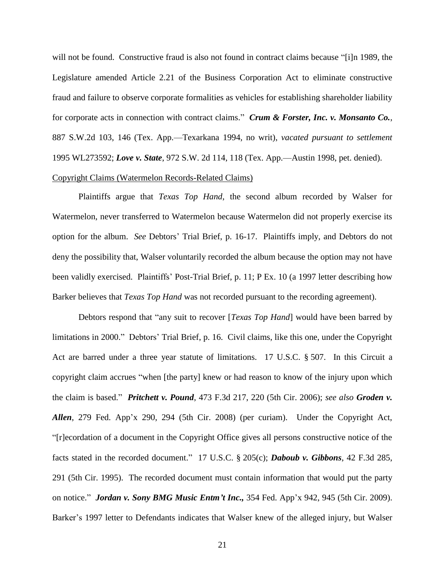will not be found. Constructive fraud is also not found in contract claims because "[i]n 1989, the Legislature amended Article 2.21 of the Business Corporation Act to eliminate constructive fraud and failure to observe corporate formalities as vehicles for establishing shareholder liability for corporate acts in connection with contract claims." *Crum & Forster, Inc. v. Monsanto Co.*, 887 S.W.2d 103, 146 (Tex. App.—Texarkana 1994, no writ), *vacated pursuant to settlement* 1995 WL273592; *Love v. State*, 972 S.W. 2d 114, 118 (Tex. App.—Austin 1998, pet. denied).

## Copyright Claims (Watermelon Records-Related Claims)

Plaintiffs argue that *Texas Top Hand*, the second album recorded by Walser for Watermelon, never transferred to Watermelon because Watermelon did not properly exercise its option for the album. *See* Debtors" Trial Brief, p. 16-17. Plaintiffs imply, and Debtors do not deny the possibility that, Walser voluntarily recorded the album because the option may not have been validly exercised. Plaintiffs" Post-Trial Brief, p. 11; P Ex. 10 (a 1997 letter describing how Barker believes that *Texas Top Hand* was not recorded pursuant to the recording agreement).

Debtors respond that "any suit to recover [*Texas Top Hand*] would have been barred by limitations in 2000." Debtors' Trial Brief, p. 16. Civil claims, like this one, under the Copyright Act are barred under a three year statute of limitations. 17 U.S.C. § 507. In this Circuit a copyright claim accrues "when [the party] knew or had reason to know of the injury upon which the claim is based." *Pritchett v. Pound*, 473 F.3d 217, 220 (5th Cir. 2006); *see also Groden v. Allen*, 279 Fed. App'x 290, 294 (5th Cir. 2008) (per curiam). Under the Copyright Act, "[r]ecordation of a document in the Copyright Office gives all persons constructive notice of the facts stated in the recorded document." 17 U.S.C. § 205(c); *Daboub v. Gibbons*, 42 F.3d 285, 291 (5th Cir. 1995). The recorded document must contain information that would put the party on notice." *Jordan v. Sony BMG Music Entm't Inc.,* 354 Fed. App"x 942, 945 (5th Cir. 2009). Barker's 1997 letter to Defendants indicates that Walser knew of the alleged injury, but Walser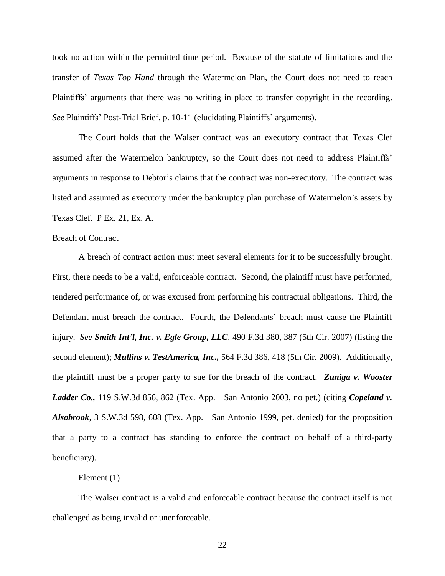took no action within the permitted time period. Because of the statute of limitations and the transfer of *Texas Top Hand* through the Watermelon Plan, the Court does not need to reach Plaintiffs" arguments that there was no writing in place to transfer copyright in the recording. *See* Plaintiffs' Post-Trial Brief, p. 10-11 (elucidating Plaintiffs' arguments).

The Court holds that the Walser contract was an executory contract that Texas Clef assumed after the Watermelon bankruptcy, so the Court does not need to address Plaintiffs" arguments in response to Debtor"s claims that the contract was non-executory. The contract was listed and assumed as executory under the bankruptcy plan purchase of Watermelon"s assets by Texas Clef. P Ex. 21, Ex. A.

#### Breach of Contract

A breach of contract action must meet several elements for it to be successfully brought. First, there needs to be a valid, enforceable contract. Second, the plaintiff must have performed, tendered performance of, or was excused from performing his contractual obligations. Third, the Defendant must breach the contract. Fourth, the Defendants" breach must cause the Plaintiff injury. *See Smith Int'l, Inc. v. Egle Group, LLC,* 490 F.3d 380, 387 (5th Cir. 2007) (listing the second element); *Mullins v. TestAmerica, Inc.,* 564 F.3d 386, 418 (5th Cir. 2009). Additionally, the plaintiff must be a proper party to sue for the breach of the contract. *Zuniga v. Wooster Ladder Co.,* 119 S.W.3d 856, 862 (Tex. App.—San Antonio 2003, no pet.) (citing *Copeland v. Alsobrook*, 3 S.W.3d 598, 608 (Tex. App.—San Antonio 1999, pet. denied) for the proposition that a party to a contract has standing to enforce the contract on behalf of a third-party beneficiary).

#### Element  $(1)$

The Walser contract is a valid and enforceable contract because the contract itself is not challenged as being invalid or unenforceable.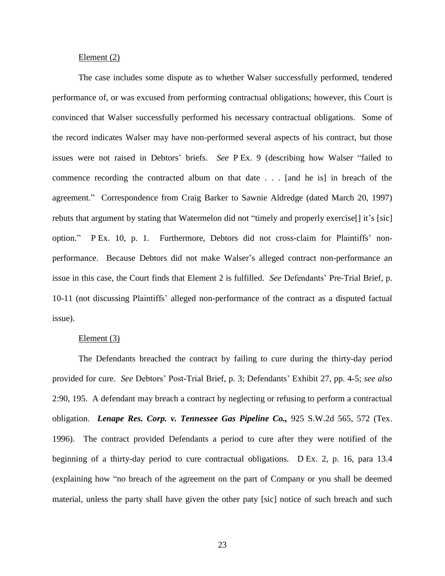#### Element (2)

The case includes some dispute as to whether Walser successfully performed, tendered performance of, or was excused from performing contractual obligations; however, this Court is convinced that Walser successfully performed his necessary contractual obligations. Some of the record indicates Walser may have non-performed several aspects of his contract, but those issues were not raised in Debtors" briefs. *See* P Ex. 9 (describing how Walser "failed to commence recording the contracted album on that date . . . [and he is] in breach of the agreement." Correspondence from Craig Barker to Sawnie Aldredge (dated March 20, 1997) rebuts that argument by stating that Watermelon did not "timely and properly exercise<sup>[]</sup> it's [sic] option." P Ex. 10, p. 1. Furthermore, Debtors did not cross-claim for Plaintiffs" nonperformance. Because Debtors did not make Walser"s alleged contract non-performance an issue in this case, the Court finds that Element 2 is fulfilled. *See* Defendants" Pre-Trial Brief, p. 10-11 (not discussing Plaintiffs" alleged non-performance of the contract as a disputed factual issue).

## Element (3)

The Defendants breached the contract by failing to cure during the thirty-day period provided for cure. *See* Debtors" Post-Trial Brief, p. 3; Defendants" Exhibit 27, pp. 4-5; *see also*  2:90, 195. A defendant may breach a contract by neglecting or refusing to perform a contractual obligation. *Lenape Res. Corp. v. Tennessee Gas Pipeline Co.,* 925 S.W.2d 565, 572 (Tex. 1996). The contract provided Defendants a period to cure after they were notified of the beginning of a thirty-day period to cure contractual obligations. D Ex. 2, p. 16, para 13.4 (explaining how "no breach of the agreement on the part of Company or you shall be deemed material, unless the party shall have given the other paty [sic] notice of such breach and such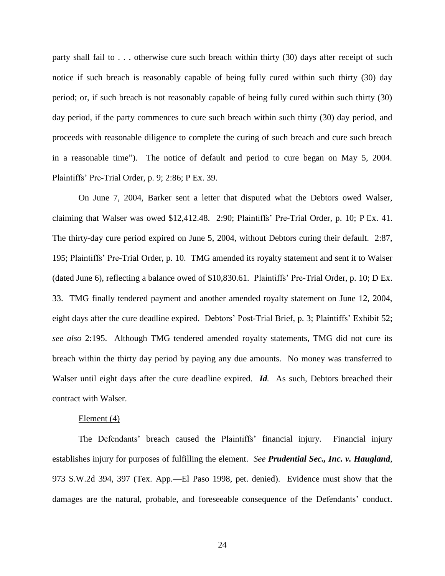party shall fail to . . . otherwise cure such breach within thirty (30) days after receipt of such notice if such breach is reasonably capable of being fully cured within such thirty (30) day period; or, if such breach is not reasonably capable of being fully cured within such thirty (30) day period, if the party commences to cure such breach within such thirty (30) day period, and proceeds with reasonable diligence to complete the curing of such breach and cure such breach in a reasonable time"). The notice of default and period to cure began on May 5, 2004. Plaintiffs" Pre-Trial Order, p. 9; 2:86; P Ex. 39.

On June 7, 2004, Barker sent a letter that disputed what the Debtors owed Walser, claiming that Walser was owed \$12,412.48. 2:90; Plaintiffs" Pre-Trial Order, p. 10; P Ex. 41. The thirty-day cure period expired on June 5, 2004, without Debtors curing their default. 2:87, 195; Plaintiffs" Pre-Trial Order, p. 10. TMG amended its royalty statement and sent it to Walser (dated June 6), reflecting a balance owed of \$10,830.61. Plaintiffs" Pre-Trial Order, p. 10; D Ex. 33.TMG finally tendered payment and another amended royalty statement on June 12, 2004, eight days after the cure deadline expired. Debtors' Post-Trial Brief, p. 3; Plaintiffs' Exhibit 52; *see also* 2:195. Although TMG tendered amended royalty statements, TMG did not cure its breach within the thirty day period by paying any due amounts. No money was transferred to Walser until eight days after the cure deadline expired. *Id.* As such, Debtors breached their contract with Walser.

#### Element (4)

The Defendants' breach caused the Plaintiffs' financial injury. Financial injury establishes injury for purposes of fulfilling the element. *See Prudential Sec., Inc. v. Haugland*, 973 S.W.2d 394, 397 (Tex. App.—El Paso 1998, pet. denied). Evidence must show that the damages are the natural, probable, and foreseeable consequence of the Defendants" conduct.

24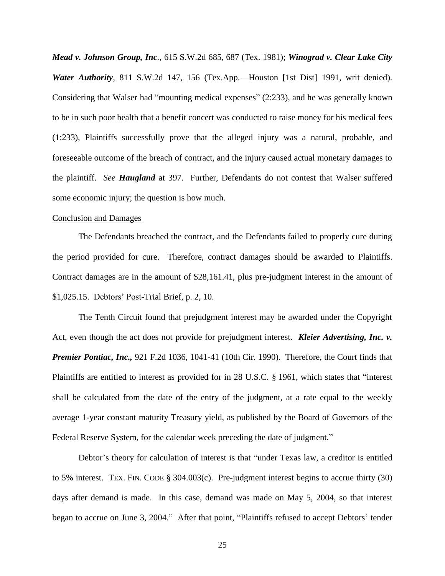*Mead v. Johnson Group, Inc.,* 615 S.W.2d 685, 687 (Tex. 1981); *Winograd v. Clear Lake City Water Authority,* 811 S.W.2d 147, 156 (Tex.App.—Houston [1st Dist] 1991, writ denied). Considering that Walser had "mounting medical expenses" (2:233), and he was generally known to be in such poor health that a benefit concert was conducted to raise money for his medical fees (1:233), Plaintiffs successfully prove that the alleged injury was a natural, probable, and foreseeable outcome of the breach of contract, and the injury caused actual monetary damages to the plaintiff. *See Haugland* at 397. Further, Defendants do not contest that Walser suffered some economic injury; the question is how much.

#### Conclusion and Damages

The Defendants breached the contract, and the Defendants failed to properly cure during the period provided for cure. Therefore, contract damages should be awarded to Plaintiffs. Contract damages are in the amount of \$28,161.41, plus pre-judgment interest in the amount of \$1,025.15. Debtors" Post-Trial Brief, p. 2, 10.

The Tenth Circuit found that prejudgment interest may be awarded under the Copyright Act, even though the act does not provide for prejudgment interest. *Kleier Advertising, Inc. v. Premier Pontiac, Inc.,* 921 F.2d 1036, 1041-41 (10th Cir. 1990). Therefore, the Court finds that Plaintiffs are entitled to interest as provided for in 28 U.S.C. § 1961, which states that "interest shall be calculated from the date of the entry of the judgment, at a rate equal to the weekly average 1-year constant maturity Treasury yield, as published by the Board of Governors of the Federal Reserve System, for the calendar week preceding the date of judgment."

Debtor's theory for calculation of interest is that "under Texas law, a creditor is entitled to 5% interest. TEX. FIN. CODE § 304.003(c). Pre-judgment interest begins to accrue thirty (30) days after demand is made. In this case, demand was made on May 5, 2004, so that interest began to accrue on June 3, 2004." After that point, "Plaintiffs refused to accept Debtors' tender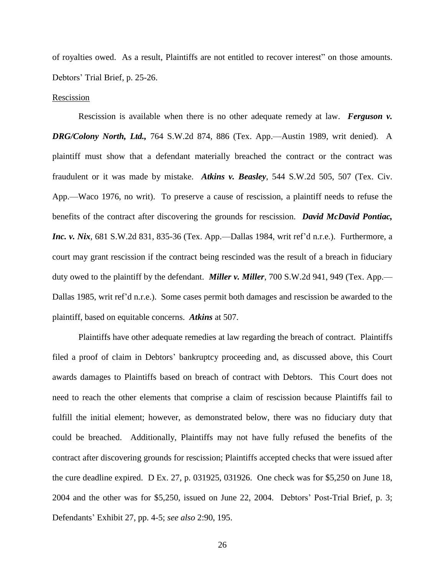of royalties owed. As a result, Plaintiffs are not entitled to recover interest" on those amounts. Debtors' Trial Brief, p. 25-26.

#### Rescission

Rescission is available when there is no other adequate remedy at law. *Ferguson v. DRG/Colony North, Ltd.,* 764 S.W.2d 874, 886 (Tex. App.—Austin 1989, writ denied). A plaintiff must show that a defendant materially breached the contract or the contract was fraudulent or it was made by mistake. *Atkins v. Beasley*, 544 S.W.2d 505, 507 (Tex. Civ. App.—Waco 1976, no writ). To preserve a cause of rescission, a plaintiff needs to refuse the benefits of the contract after discovering the grounds for rescission. *David McDavid Pontiac, Inc. v. Nix*, 681 S.W.2d 831, 835-36 (Tex. App.—Dallas 1984, writ ref'd n.r.e.). Furthermore, a court may grant rescission if the contract being rescinded was the result of a breach in fiduciary duty owed to the plaintiff by the defendant. *Miller v. Miller*, 700 S.W.2d 941, 949 (Tex. App.— Dallas 1985, writ ref"d n.r.e.). Some cases permit both damages and rescission be awarded to the plaintiff, based on equitable concerns. *Atkins* at 507.

Plaintiffs have other adequate remedies at law regarding the breach of contract. Plaintiffs filed a proof of claim in Debtors' bankruptcy proceeding and, as discussed above, this Court awards damages to Plaintiffs based on breach of contract with Debtors. This Court does not need to reach the other elements that comprise a claim of rescission because Plaintiffs fail to fulfill the initial element; however, as demonstrated below, there was no fiduciary duty that could be breached. Additionally, Plaintiffs may not have fully refused the benefits of the contract after discovering grounds for rescission; Plaintiffs accepted checks that were issued after the cure deadline expired. D Ex. 27, p. 031925, 031926. One check was for \$5,250 on June 18, 2004 and the other was for \$5,250, issued on June 22, 2004. Debtors" Post-Trial Brief, p. 3; Defendants" Exhibit 27, pp. 4-5; *see also* 2:90, 195.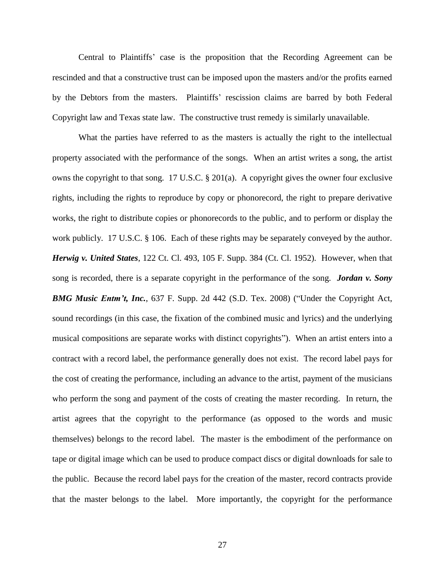Central to Plaintiffs" case is the proposition that the Recording Agreement can be rescinded and that a constructive trust can be imposed upon the masters and/or the profits earned by the Debtors from the masters. Plaintiffs" rescission claims are barred by both Federal Copyright law and Texas state law. The constructive trust remedy is similarly unavailable.

What the parties have referred to as the masters is actually the right to the intellectual property associated with the performance of the songs. When an artist writes a song, the artist owns the copyright to that song. 17 U.S.C. § 201(a). A copyright gives the owner four exclusive rights, including the rights to reproduce by copy or phonorecord, the right to prepare derivative works, the right to distribute copies or phonorecords to the public, and to perform or display the work publicly. 17 U.S.C. § 106. Each of these rights may be separately conveyed by the author. *Herwig v. United States*, 122 Ct. Cl. 493, 105 F. Supp. 384 (Ct. Cl. 1952). However, when that song is recorded, there is a separate copyright in the performance of the song. *Jordan v. Sony BMG Music Entm't, Inc.*, 637 F. Supp. 2d 442 (S.D. Tex. 2008) ("Under the Copyright Act, sound recordings (in this case, the fixation of the combined music and lyrics) and the underlying musical compositions are separate works with distinct copyrights"). When an artist enters into a contract with a record label, the performance generally does not exist. The record label pays for the cost of creating the performance, including an advance to the artist, payment of the musicians who perform the song and payment of the costs of creating the master recording. In return, the artist agrees that the copyright to the performance (as opposed to the words and music themselves) belongs to the record label. The master is the embodiment of the performance on tape or digital image which can be used to produce compact discs or digital downloads for sale to the public. Because the record label pays for the creation of the master, record contracts provide that the master belongs to the label. More importantly, the copyright for the performance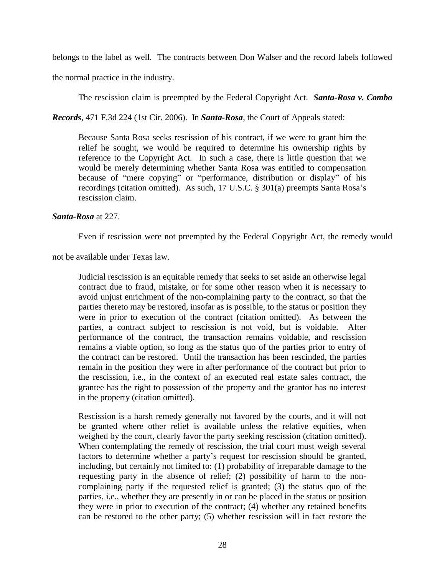belongs to the label as well. The contracts between Don Walser and the record labels followed

the normal practice in the industry.

The rescission claim is preempted by the Federal Copyright Act. *Santa-Rosa v. Combo* 

*Records*, 471 F.3d 224 (1st Cir. 2006). In *Santa-Rosa*, the Court of Appeals stated:

Because Santa Rosa seeks rescission of his contract, if we were to grant him the relief he sought, we would be required to determine his ownership rights by reference to the Copyright Act. In such a case, there is little question that we would be merely determining whether Santa Rosa was entitled to compensation because of "mere copying" or "performance, distribution or display" of his recordings (citation omitted). As such, 17 U.S.C. § 301(a) preempts Santa Rosa"s rescission claim.

## *Santa-Rosa* at 227.

Even if rescission were not preempted by the Federal Copyright Act, the remedy would

not be available under Texas law.

Judicial rescission is an equitable remedy that seeks to set aside an otherwise legal contract due to fraud, mistake, or for some other reason when it is necessary to avoid unjust enrichment of the non-complaining party to the contract, so that the parties thereto may be restored, insofar as is possible, to the status or position they were in prior to execution of the contract (citation omitted). As between the parties, a contract subject to rescission is not void, but is voidable. After performance of the contract, the transaction remains voidable, and rescission remains a viable option, so long as the status quo of the parties prior to entry of the contract can be restored. Until the transaction has been rescinded, the parties remain in the position they were in after performance of the contract but prior to the rescission, i.e., in the context of an executed real estate sales contract, the grantee has the right to possession of the property and the grantor has no interest in the property (citation omitted).

Rescission is a harsh remedy generally not favored by the courts, and it will not be granted where other relief is available unless the relative equities, when weighed by the court, clearly favor the party seeking rescission (citation omitted). When contemplating the remedy of rescission, the trial court must weigh several factors to determine whether a party's request for rescission should be granted, including, but certainly not limited to: (1) probability of irreparable damage to the requesting party in the absence of relief; (2) possibility of harm to the noncomplaining party if the requested relief is granted; (3) the status quo of the parties, i.e., whether they are presently in or can be placed in the status or position they were in prior to execution of the contract; (4) whether any retained benefits can be restored to the other party; (5) whether rescission will in fact restore the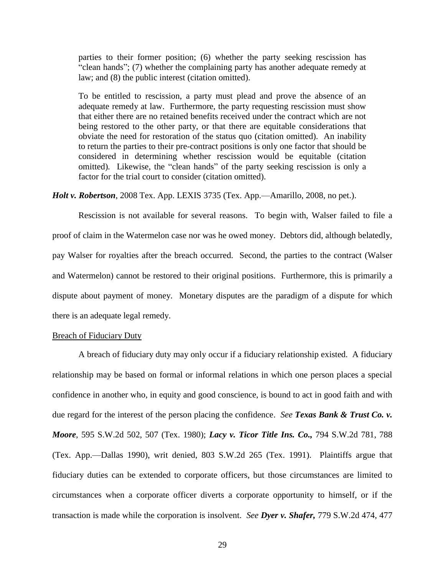parties to their former position; (6) whether the party seeking rescission has "clean hands"; (7) whether the complaining party has another adequate remedy at law; and (8) the public interest (citation omitted).

To be entitled to rescission, a party must plead and prove the absence of an adequate remedy at law. Furthermore, the party requesting rescission must show that either there are no retained benefits received under the contract which are not being restored to the other party, or that there are equitable considerations that obviate the need for restoration of the status quo (citation omitted). An inability to return the parties to their pre-contract positions is only one factor that should be considered in determining whether rescission would be equitable (citation omitted)*.* Likewise, the "clean hands" of the party seeking rescission is only a factor for the trial court to consider (citation omitted).

*Holt v. Robertson*, 2008 Tex. App. LEXIS 3735 (Tex. App.—Amarillo, 2008, no pet.).

Rescission is not available for several reasons. To begin with, Walser failed to file a proof of claim in the Watermelon case nor was he owed money. Debtors did, although belatedly, pay Walser for royalties after the breach occurred. Second, the parties to the contract (Walser and Watermelon) cannot be restored to their original positions. Furthermore, this is primarily a dispute about payment of money. Monetary disputes are the paradigm of a dispute for which there is an adequate legal remedy.

## Breach of Fiduciary Duty

A breach of fiduciary duty may only occur if a fiduciary relationship existed. A fiduciary relationship may be based on formal or informal relations in which one person places a special confidence in another who, in equity and good conscience, is bound to act in good faith and with due regard for the interest of the person placing the confidence. *See Texas Bank & Trust Co. v. Moore*, 595 S.W.2d 502, 507 (Tex. 1980); *Lacy v. Ticor Title Ins. Co.,* 794 S.W.2d 781, 788 (Tex. App.—Dallas 1990), writ denied, 803 S.W.2d 265 (Tex. 1991). Plaintiffs argue that fiduciary duties can be extended to corporate officers, but those circumstances are limited to circumstances when a corporate officer diverts a corporate opportunity to himself, or if the transaction is made while the corporation is insolvent. *See Dyer v. Shafer,* 779 S.W.2d 474, 477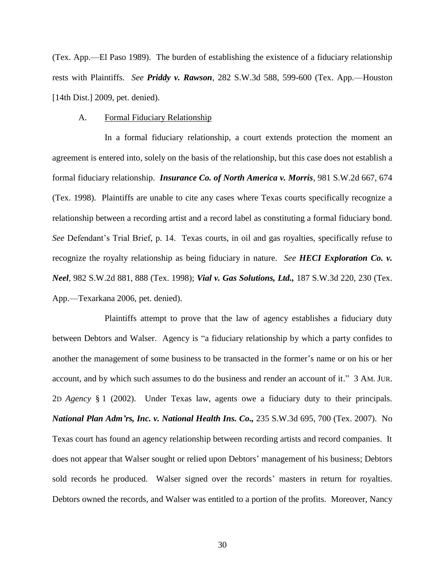(Tex. App.—El Paso 1989). The burden of establishing the existence of a fiduciary relationship rests with Plaintiffs. *See Priddy v. Rawson*, 282 S.W.3d 588, 599-600 (Tex. App.—Houston [14th Dist.] 2009, pet. denied).

### A. Formal Fiduciary Relationship

In a formal fiduciary relationship, a court extends protection the moment an agreement is entered into, solely on the basis of the relationship, but this case does not establish a formal fiduciary relationship. *Insurance Co. of North America v. Morris*, 981 S.W.2d 667, 674 (Tex. 1998). Plaintiffs are unable to cite any cases where Texas courts specifically recognize a relationship between a recording artist and a record label as constituting a formal fiduciary bond. *See* Defendant"s Trial Brief, p. 14.Texas courts, in oil and gas royalties, specifically refuse to recognize the royalty relationship as being fiduciary in nature. *See HECI Exploration Co. v. Neel*, 982 S.W.2d 881, 888 (Tex. 1998); *Vial v. Gas Solutions, Ltd.,* 187 S.W.3d 220, 230 (Tex. App.—Texarkana 2006, pet. denied).

Plaintiffs attempt to prove that the law of agency establishes a fiduciary duty between Debtors and Walser. Agency is "a fiduciary relationship by which a party confides to another the management of some business to be transacted in the former"s name or on his or her account, and by which such assumes to do the business and render an account of it." 3 AM. JUR. 2D *Agency* § 1 (2002). Under Texas law, agents owe a fiduciary duty to their principals. *National Plan Adm'rs, Inc. v. National Health Ins. Co.,* 235 S.W.3d 695, 700 (Tex. 2007). No Texas court has found an agency relationship between recording artists and record companies. It does not appear that Walser sought or relied upon Debtors" management of his business; Debtors sold records he produced. Walser signed over the records" masters in return for royalties. Debtors owned the records, and Walser was entitled to a portion of the profits. Moreover, Nancy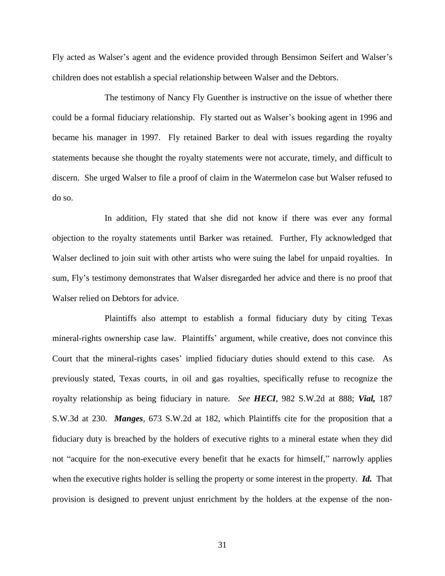Fly acted as Walser"s agent and the evidence provided through Bensimon Seifert and Walser"s children does not establish a special relationship between Walser and the Debtors.

The testimony of Nancy Fly Guenther is instructive on the issue of whether there could be a formal fiduciary relationship. Fly started out as Walser"s booking agent in 1996 and became his manager in 1997. Fly retained Barker to deal with issues regarding the royalty statements because she thought the royalty statements were not accurate, timely, and difficult to discern. She urged Walser to file a proof of claim in the Watermelon case but Walser refused to do so.

In addition, Fly stated that she did not know if there was ever any formal objection to the royalty statements until Barker was retained. Further, Fly acknowledged that Walser declined to join suit with other artists who were suing the label for unpaid royalties. In sum, Fly"s testimony demonstrates that Walser disregarded her advice and there is no proof that Walser relied on Debtors for advice.

Plaintiffs also attempt to establish a formal fiduciary duty by citing Texas mineral-rights ownership case law. Plaintiffs' argument, while creative, does not convince this Court that the mineral-rights cases" implied fiduciary duties should extend to this case. As previously stated, Texas courts, in oil and gas royalties, specifically refuse to recognize the royalty relationship as being fiduciary in nature. *See HECI*, 982 S.W.2d at 888; *Vial,* 187 S.W.3d at 230. *Manges*, 673 S.W.2d at 182, which Plaintiffs cite for the proposition that a fiduciary duty is breached by the holders of executive rights to a mineral estate when they did not "acquire for the non-executive every benefit that he exacts for himself," narrowly applies when the executive rights holder is selling the property or some interest in the property. *Id.* That provision is designed to prevent unjust enrichment by the holders at the expense of the non-

31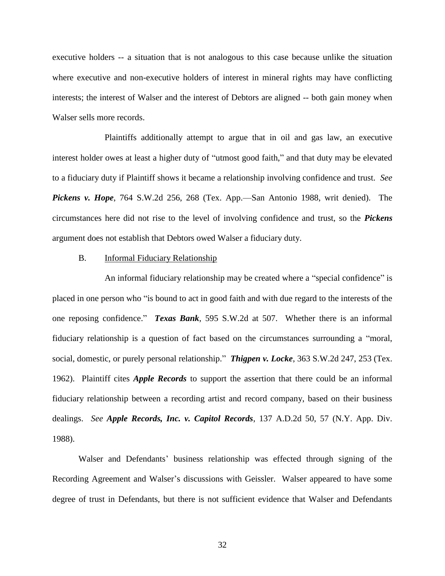executive holders -- a situation that is not analogous to this case because unlike the situation where executive and non-executive holders of interest in mineral rights may have conflicting interests; the interest of Walser and the interest of Debtors are aligned -- both gain money when Walser sells more records.

Plaintiffs additionally attempt to argue that in oil and gas law, an executive interest holder owes at least a higher duty of "utmost good faith," and that duty may be elevated to a fiduciary duty if Plaintiff shows it became a relationship involving confidence and trust. *See Pickens v. Hope*, 764 S.W.2d 256, 268 (Tex. App.—San Antonio 1988, writ denied). The circumstances here did not rise to the level of involving confidence and trust, so the *Pickens*  argument does not establish that Debtors owed Walser a fiduciary duty.

## B. Informal Fiduciary Relationship

An informal fiduciary relationship may be created where a "special confidence" is placed in one person who "is bound to act in good faith and with due regard to the interests of the one reposing confidence." *Texas Bank*, 595 S.W.2d at 507. Whether there is an informal fiduciary relationship is a question of fact based on the circumstances surrounding a "moral, social, domestic, or purely personal relationship." *Thigpen v. Locke*, 363 S.W.2d 247, 253 (Tex. 1962). Plaintiff cites *Apple Records* to support the assertion that there could be an informal fiduciary relationship between a recording artist and record company, based on their business dealings. *See Apple Records, Inc. v. Capitol Records*, 137 A.D.2d 50, 57 (N.Y. App. Div. 1988).

Walser and Defendants" business relationship was effected through signing of the Recording Agreement and Walser's discussions with Geissler. Walser appeared to have some degree of trust in Defendants, but there is not sufficient evidence that Walser and Defendants

32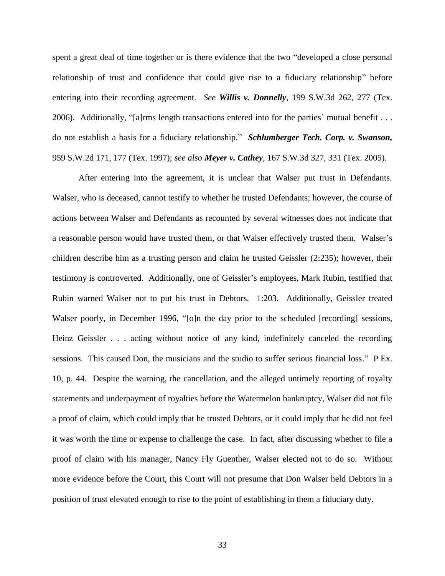spent a great deal of time together or is there evidence that the two "developed a close personal relationship of trust and confidence that could give rise to a fiduciary relationship" before entering into their recording agreement. *See Willis v. Donnelly*, 199 S.W.3d 262, 277 (Tex. 2006). Additionally, "[a]rms length transactions entered into for the parties" mutual benefit . . . do not establish a basis for a fiduciary relationship." *Schlumberger Tech. Corp. v. Swanson,*  959 S.W.2d 171, 177 (Tex. 1997); *see also Meyer v. Cathey,* 167 S.W.3d 327, 331 (Tex. 2005).

After entering into the agreement, it is unclear that Walser put trust in Defendants. Walser, who is deceased, cannot testify to whether he trusted Defendants; however, the course of actions between Walser and Defendants as recounted by several witnesses does not indicate that a reasonable person would have trusted them, or that Walser effectively trusted them. Walser"s children describe him as a trusting person and claim he trusted Geissler (2:235); however, their testimony is controverted. Additionally, one of Geissler"s employees, Mark Rubin, testified that Rubin warned Walser not to put his trust in Debtors. 1:203. Additionally, Geissler treated Walser poorly, in December 1996, "[o]n the day prior to the scheduled [recording] sessions, Heinz Geissler . . . acting without notice of any kind, indefinitely canceled the recording sessions. This caused Don, the musicians and the studio to suffer serious financial loss." P Ex. 10, p. 44. Despite the warning, the cancellation, and the alleged untimely reporting of royalty statements and underpayment of royalties before the Watermelon bankruptcy, Walser did not file a proof of claim, which could imply that he trusted Debtors, or it could imply that he did not feel it was worth the time or expense to challenge the case. In fact, after discussing whether to file a proof of claim with his manager, Nancy Fly Guenther, Walser elected not to do so. Without more evidence before the Court, this Court will not presume that Don Walser held Debtors in a position of trust elevated enough to rise to the point of establishing in them a fiduciary duty.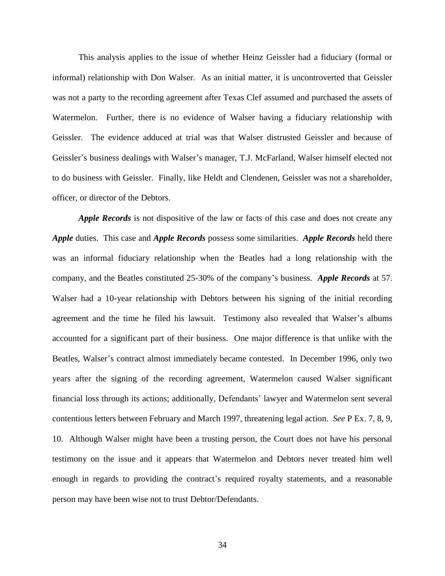This analysis applies to the issue of whether Heinz Geissler had a fiduciary (formal or informal) relationship with Don Walser. As an initial matter, it is uncontroverted that Geissler was not a party to the recording agreement after Texas Clef assumed and purchased the assets of Watermelon. Further, there is no evidence of Walser having a fiduciary relationship with Geissler. The evidence adduced at trial was that Walser distrusted Geissler and because of Geissler"s business dealings with Walser"s manager, T.J. McFarland, Walser himself elected not to do business with Geissler. Finally, like Heldt and Clendenen, Geissler was not a shareholder, officer, or director of the Debtors.

*Apple Records* is not dispositive of the law or facts of this case and does not create any *Apple* duties. This case and *Apple Records* possess some similarities. *Apple Records* held there was an informal fiduciary relationship when the Beatles had a long relationship with the company, and the Beatles constituted 25-30% of the company"s business. *Apple Records* at 57. Walser had a 10-year relationship with Debtors between his signing of the initial recording agreement and the time he filed his lawsuit. Testimony also revealed that Walser's albums accounted for a significant part of their business. One major difference is that unlike with the Beatles, Walser's contract almost immediately became contested. In December 1996, only two years after the signing of the recording agreement, Watermelon caused Walser significant financial loss through its actions; additionally, Defendants' lawyer and Watermelon sent several contentious letters between February and March 1997, threatening legal action. *See* P Ex. 7, 8, 9, 10.Although Walser might have been a trusting person, the Court does not have his personal testimony on the issue and it appears that Watermelon and Debtors never treated him well enough in regards to providing the contract's required royalty statements, and a reasonable person may have been wise not to trust Debtor/Defendants.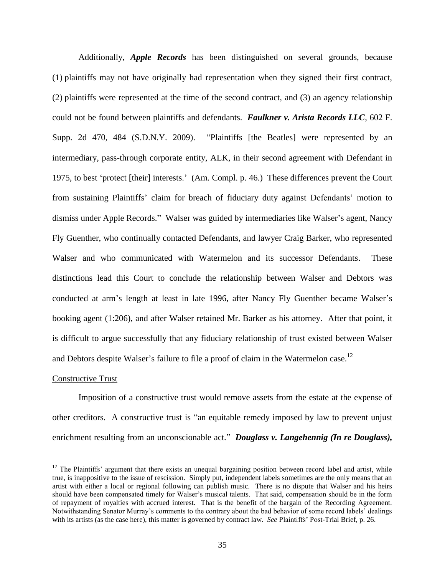Additionally, *Apple Records* has been distinguished on several grounds, because (1) plaintiffs may not have originally had representation when they signed their first contract, (2) plaintiffs were represented at the time of the second contract, and (3) an agency relationship could not be found between plaintiffs and defendants. *Faulkner v. Arista Records LLC*, 602 F. Supp. 2d 470, 484 (S.D.N.Y. 2009). "Plaintiffs [the Beatles] were represented by an intermediary, pass-through corporate entity, ALK, in their second agreement with Defendant in 1975, to best "protect [their] interests." (Am. Compl. p. 46.) These differences prevent the Court from sustaining Plaintiffs" claim for breach of fiduciary duty against Defendants" motion to dismiss under Apple Records." Walser was guided by intermediaries like Walser's agent, Nancy Fly Guenther, who continually contacted Defendants, and lawyer Craig Barker, who represented Walser and who communicated with Watermelon and its successor Defendants. These distinctions lead this Court to conclude the relationship between Walser and Debtors was conducted at arm's length at least in late 1996, after Nancy Fly Guenther became Walser's booking agent (1:206), and after Walser retained Mr. Barker as his attorney. After that point, it is difficult to argue successfully that any fiduciary relationship of trust existed between Walser and Debtors despite Walser's failure to file a proof of claim in the Watermelon case.<sup>12</sup>

#### Constructive Trust

 $\overline{a}$ 

Imposition of a constructive trust would remove assets from the estate at the expense of other creditors. A constructive trust is "an equitable remedy imposed by law to prevent unjust enrichment resulting from an unconscionable act." *Douglass v. Langehennig (In re Douglass)*,

 $12$  The Plaintiffs' argument that there exists an unequal bargaining position between record label and artist, while true, is inappositive to the issue of rescission. Simply put, independent labels sometimes are the only means that an artist with either a local or regional following can publish music. There is no dispute that Walser and his heirs should have been compensated timely for Walser"s musical talents. That said, compensation should be in the form of repayment of royalties with accrued interest. That is the benefit of the bargain of the Recording Agreement. Notwithstanding Senator Murray"s comments to the contrary about the bad behavior of some record labels" dealings with its artists (as the case here), this matter is governed by contract law. *See* Plaintiffs" Post-Trial Brief, p. 26.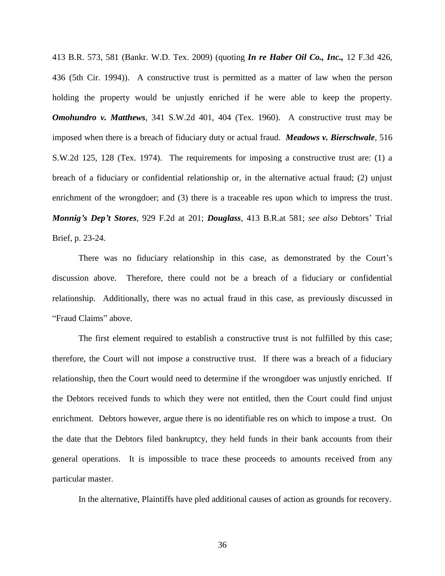413 B.R. 573, 581 (Bankr. W.D. Tex. 2009) (quoting *In re Haber Oil Co., Inc.,* 12 F.3d 426, 436 (5th Cir. 1994)). A constructive trust is permitted as a matter of law when the person holding the property would be unjustly enriched if he were able to keep the property. *Omohundro v. Matthews*, 341 S.W.2d 401, 404 (Tex. 1960). A constructive trust may be imposed when there is a breach of fiduciary duty or actual fraud. *Meadows v. Bierschwale*, 516 S.W.2d 125, 128 (Tex. 1974). The requirements for imposing a constructive trust are: (1) a breach of a fiduciary or confidential relationship or, in the alternative actual fraud; (2) unjust enrichment of the wrongdoer; and (3) there is a traceable res upon which to impress the trust. *Monnig's Dep't Stores*, 929 F.2d at 201; *Douglass*, 413 B.R.at 581; *see also* Debtors" Trial Brief, p. 23-24.

There was no fiduciary relationship in this case, as demonstrated by the Court's discussion above. Therefore, there could not be a breach of a fiduciary or confidential relationship. Additionally, there was no actual fraud in this case, as previously discussed in "Fraud Claims" above.

The first element required to establish a constructive trust is not fulfilled by this case; therefore, the Court will not impose a constructive trust. If there was a breach of a fiduciary relationship, then the Court would need to determine if the wrongdoer was unjustly enriched. If the Debtors received funds to which they were not entitled, then the Court could find unjust enrichment. Debtors however, argue there is no identifiable res on which to impose a trust. On the date that the Debtors filed bankruptcy, they held funds in their bank accounts from their general operations. It is impossible to trace these proceeds to amounts received from any particular master.

In the alternative, Plaintiffs have pled additional causes of action as grounds for recovery.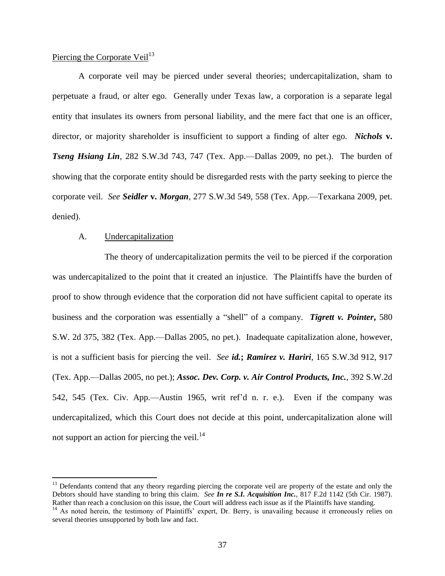## Piercing the Corporate Veil $^{13}$

A corporate veil may be pierced under several theories; undercapitalization, sham to perpetuate a fraud, or alter ego. Generally under Texas law, a corporation is a separate legal entity that insulates its owners from personal liability, and the mere fact that one is an officer, director, or majority shareholder is insufficient to support a finding of alter ego. *Nichols* **v.**  *Tseng Hsiang Lin,* 282 S.W.3d 743, 747 (Tex. App.—Dallas 2009, no pet.). The burden of showing that the corporate entity should be disregarded rests with the party seeking to pierce the corporate veil. *See Seidler* **v.** *Morgan,* 277 S.W.3d 549, 558 (Tex. App.—Texarkana 2009, pet. denied).

### A. Undercapitalization

 $\overline{a}$ 

The theory of undercapitalization permits the veil to be pierced if the corporation was undercapitalized to the point that it created an injustice. The Plaintiffs have the burden of proof to show through evidence that the corporation did not have sufficient capital to operate its business and the corporation was essentially a "shell" of a company. *Tigrett v. Pointer***,** 580 S.W. 2d 375, 382 (Tex. App.—Dallas 2005, no pet.). Inadequate capitalization alone, however, is not a sufficient basis for piercing the veil. *See id.***;** *Ramirez v. Hariri*, 165 S.W.3d 912, 917 (Tex. App.—Dallas 2005, no pet.); *Assoc. Dev. Corp. v. Air Control Products, Inc.*, 392 S.W.2d 542, 545 (Tex. Civ. App.—Austin 1965, writ ref"d n. r. e.). Even if the company was undercapitalized, which this Court does not decide at this point, undercapitalization alone will not support an action for piercing the veil. $^{14}$ 

<sup>&</sup>lt;sup>13</sup> Defendants contend that any theory regarding piercing the corporate veil are property of the estate and only the Debtors should have standing to bring this claim. *See In re S.I. Acquisition Inc.*, 817 F.2d 1142 (5th Cir. 1987). Rather than reach a conclusion on this issue, the Court will address each issue as if the Plaintiffs have standing.

<sup>&</sup>lt;sup>14</sup> As noted herein, the testimony of Plaintiffs' expert, Dr. Berry, is unavailing because it erroneously relies on several theories unsupported by both law and fact.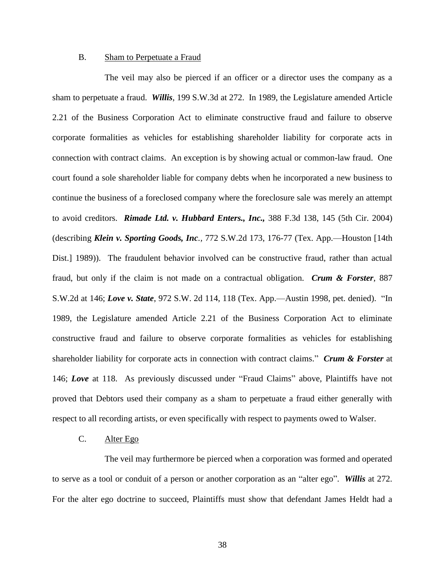## B. Sham to Perpetuate a Fraud

The veil may also be pierced if an officer or a director uses the company as a sham to perpetuate a fraud. *Willis*, 199 S.W.3d at 272. In 1989, the Legislature amended Article 2.21 of the Business Corporation Act to eliminate constructive fraud and failure to observe corporate formalities as vehicles for establishing shareholder liability for corporate acts in connection with contract claims. An exception is by showing actual or common-law fraud. One court found a sole shareholder liable for company debts when he incorporated a new business to continue the business of a foreclosed company where the foreclosure sale was merely an attempt to avoid creditors. *Rimade Ltd. v. Hubbard Enters., Inc.,* 388 F.3d 138, 145 (5th Cir. 2004) (describing *Klein v. Sporting Goods, Inc.,* 772 S.W.2d 173, 176-77 (Tex. App.—Houston [14th Dist.] 1989)). The fraudulent behavior involved can be constructive fraud, rather than actual fraud, but only if the claim is not made on a contractual obligation. *Crum & Forster*, 887 S.W.2d at 146; *Love v. State*, 972 S.W. 2d 114, 118 (Tex. App.—Austin 1998, pet. denied). "In 1989, the Legislature amended Article 2.21 of the Business Corporation Act to eliminate constructive fraud and failure to observe corporate formalities as vehicles for establishing shareholder liability for corporate acts in connection with contract claims." *Crum & Forster* at 146; *Love* at 118. As previously discussed under "Fraud Claims" above, Plaintiffs have not proved that Debtors used their company as a sham to perpetuate a fraud either generally with respect to all recording artists, or even specifically with respect to payments owed to Walser.

## C. Alter Ego

The veil may furthermore be pierced when a corporation was formed and operated to serve as a tool or conduit of a person or another corporation as an "alter ego". *Willis* at 272. For the alter ego doctrine to succeed, Plaintiffs must show that defendant James Heldt had a

38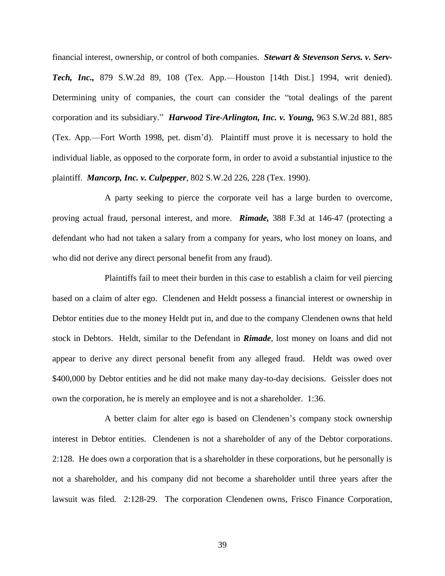financial interest, ownership, or control of both companies. *Stewart & Stevenson Servs. v. Serv-Tech, Inc.,* 879 S.W.2d 89, 108 (Tex. App.—Houston [14th Dist.] 1994, writ denied). Determining unity of companies, the court can consider the "total dealings of the parent corporation and its subsidiary." *Harwood Tire-Arlington, Inc. v. Young,* 963 S.W.2d 881, 885 (Tex. App.—Fort Worth 1998, pet. dism"d). Plaintiff must prove it is necessary to hold the individual liable, as opposed to the corporate form, in order to avoid a substantial injustice to the plaintiff. *Mancorp, Inc. v. Culpepper,* 802 S.W.2d 226, 228 (Tex. 1990).

A party seeking to pierce the corporate veil has a large burden to overcome, proving actual fraud, personal interest, and more. *Rimade,* 388 F.3d at 146-47 (protecting a defendant who had not taken a salary from a company for years, who lost money on loans, and who did not derive any direct personal benefit from any fraud).

Plaintiffs fail to meet their burden in this case to establish a claim for veil piercing based on a claim of alter ego. Clendenen and Heldt possess a financial interest or ownership in Debtor entities due to the money Heldt put in, and due to the company Clendenen owns that held stock in Debtors. Heldt, similar to the Defendant in *Rimade*, lost money on loans and did not appear to derive any direct personal benefit from any alleged fraud. Heldt was owed over \$400,000 by Debtor entities and he did not make many day-to-day decisions. Geissler does not own the corporation, he is merely an employee and is not a shareholder. 1:36.

A better claim for alter ego is based on Clendenen"s company stock ownership interest in Debtor entities. Clendenen is not a shareholder of any of the Debtor corporations. 2:128.He does own a corporation that is a shareholder in these corporations, but he personally is not a shareholder, and his company did not become a shareholder until three years after the lawsuit was filed. 2:128-29.The corporation Clendenen owns, Frisco Finance Corporation,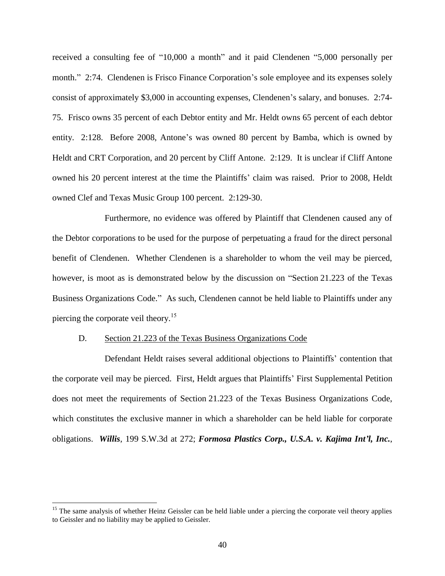received a consulting fee of "10,000 a month" and it paid Clendenen "5,000 personally per month." 2:74. Clendenen is Frisco Finance Corporation's sole employee and its expenses solely consist of approximately \$3,000 in accounting expenses, Clendenen"s salary, and bonuses. 2:74- 75. Frisco owns 35 percent of each Debtor entity and Mr. Heldt owns 65 percent of each debtor entity. 2:128. Before 2008, Antone's was owned 80 percent by Bamba, which is owned by Heldt and CRT Corporation, and 20 percent by Cliff Antone. 2:129.It is unclear if Cliff Antone owned his 20 percent interest at the time the Plaintiffs" claim was raised. Prior to 2008, Heldt owned Clef and Texas Music Group 100 percent. 2:129-30.

Furthermore, no evidence was offered by Plaintiff that Clendenen caused any of the Debtor corporations to be used for the purpose of perpetuating a fraud for the direct personal benefit of Clendenen. Whether Clendenen is a shareholder to whom the veil may be pierced, however, is moot as is demonstrated below by the discussion on "Section 21.223 of the Texas Business Organizations Code." As such, Clendenen cannot be held liable to Plaintiffs under any piercing the corporate veil theory.<sup>15</sup>

#### D. Section 21.223 of the Texas Business Organizations Code

 $\overline{a}$ 

Defendant Heldt raises several additional objections to Plaintiffs" contention that the corporate veil may be pierced. First, Heldt argues that Plaintiffs" First Supplemental Petition does not meet the requirements of Section 21.223 of the Texas Business Organizations Code, which constitutes the exclusive manner in which a shareholder can be held liable for corporate obligations. *Willis*, 199 S.W.3d at 272; *Formosa Plastics Corp., U.S.A. v. Kajima Int'l, Inc.*,

<sup>&</sup>lt;sup>15</sup> The same analysis of whether Heinz Geissler can be held liable under a piercing the corporate veil theory applies to Geissler and no liability may be applied to Geissler.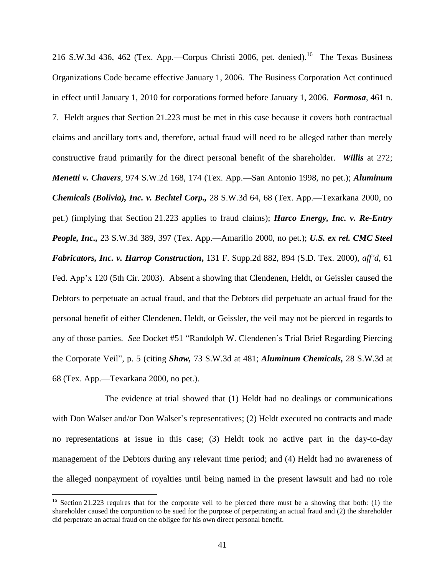216 S.W.3d 436, 462 (Tex. App.—Corpus Christi 2006, pet. denied).<sup>16</sup> The Texas Business Organizations Code became effective January 1, 2006. The Business Corporation Act continued in effect until January 1, 2010 for corporations formed before January 1, 2006. *Formosa*, 461 n. 7. Heldt argues that Section 21.223 must be met in this case because it covers both contractual claims and ancillary torts and, therefore, actual fraud will need to be alleged rather than merely constructive fraud primarily for the direct personal benefit of the shareholder. *Willis* at 272; *Menetti v. Chavers*, 974 S.W.2d 168, 174 (Tex. App.—San Antonio 1998, no pet.); *Aluminum Chemicals (Bolivia), Inc. v. Bechtel Corp.,* 28 S.W.3d 64, 68 (Tex. App.—Texarkana 2000, no pet.) (implying that Section 21.223 applies to fraud claims); *Harco Energy, Inc. v. Re-Entry People, Inc.,* 23 S.W.3d 389, 397 (Tex. App.—Amarillo 2000, no pet.); *U.S. ex rel. CMC Steel Fabricators, Inc. v. Harrop Construction***,** 131 F. Supp.2d 882, 894 (S.D. Tex. 2000), *aff'd*, 61 Fed. App'x 120 (5th Cir. 2003). Absent a showing that Clendenen, Heldt, or Geissler caused the Debtors to perpetuate an actual fraud, and that the Debtors did perpetuate an actual fraud for the personal benefit of either Clendenen, Heldt, or Geissler, the veil may not be pierced in regards to any of those parties. *See* Docket #51 "Randolph W. Clendenen"s Trial Brief Regarding Piercing the Corporate Veil", p. 5 (citing *Shaw,* 73 S.W.3d at 481; *Aluminum Chemicals,* 28 S.W.3d at 68 (Tex. App.—Texarkana 2000, no pet.).

The evidence at trial showed that (1) Heldt had no dealings or communications with Don Walser and/or Don Walser's representatives; (2) Heldt executed no contracts and made no representations at issue in this case; (3) Heldt took no active part in the day-to-day management of the Debtors during any relevant time period; and (4) Heldt had no awareness of the alleged nonpayment of royalties until being named in the present lawsuit and had no role

<sup>&</sup>lt;sup>16</sup> Section 21.223 requires that for the corporate veil to be pierced there must be a showing that both: (1) the shareholder caused the corporation to be sued for the purpose of perpetrating an actual fraud and (2) the shareholder did perpetrate an actual fraud on the obligee for his own direct personal benefit.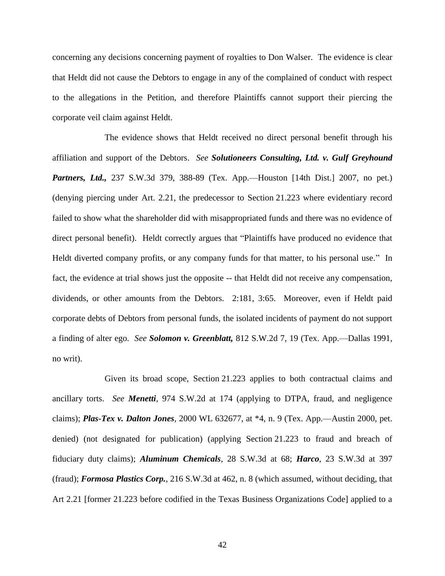concerning any decisions concerning payment of royalties to Don Walser. The evidence is clear that Heldt did not cause the Debtors to engage in any of the complained of conduct with respect to the allegations in the Petition, and therefore Plaintiffs cannot support their piercing the corporate veil claim against Heldt.

The evidence shows that Heldt received no direct personal benefit through his affiliation and support of the Debtors. *See Solutioneers Consulting, Ltd. v. Gulf Greyhound Partners, Ltd.,* 237 S.W.3d 379, 388-89 (Tex. App.—Houston [14th Dist.] 2007, no pet.) (denying piercing under Art. 2.21, the predecessor to Section 21.223 where evidentiary record failed to show what the shareholder did with misappropriated funds and there was no evidence of direct personal benefit). Heldt correctly argues that "Plaintiffs have produced no evidence that Heldt diverted company profits, or any company funds for that matter, to his personal use." In fact, the evidence at trial shows just the opposite -- that Heldt did not receive any compensation, dividends, or other amounts from the Debtors. 2:181, 3:65. Moreover, even if Heldt paid corporate debts of Debtors from personal funds, the isolated incidents of payment do not support a finding of alter ego. *See Solomon v. Greenblatt,* 812 S.W.2d 7, 19 (Tex. App.—Dallas 1991, no writ).

Given its broad scope, Section 21.223 applies to both contractual claims and ancillary torts. *See Menetti,* 974 S.W.2d at 174 (applying to DTPA, fraud, and negligence claims); *Plas-Tex v. Dalton Jones,* 2000 WL 632677, at \*4, n. 9 (Tex. App.—Austin 2000, pet. denied) (not designated for publication) (applying Section 21.223 to fraud and breach of fiduciary duty claims); *Aluminum Chemicals,* 28 S.W.3d at 68; *Harco,* 23 S.W.3d at 397 (fraud); *Formosa Plastics Corp.*, 216 S.W.3d at 462, n. 8 (which assumed, without deciding, that Art 2.21 [former 21.223 before codified in the Texas Business Organizations Code] applied to a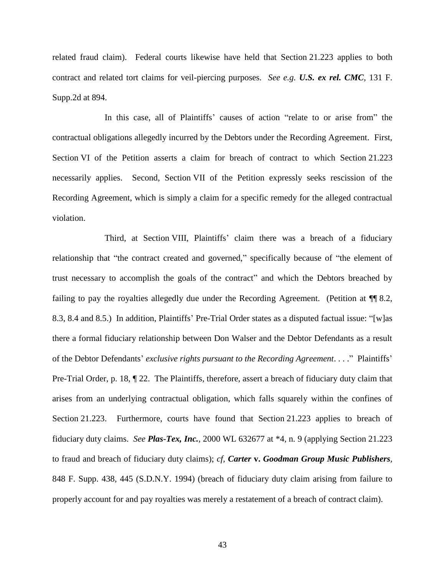related fraud claim). Federal courts likewise have held that Section 21.223 applies to both contract and related tort claims for veil-piercing purposes. *See e.g. U.S. ex rel. CMC,* 131 F. Supp.2d at 894.

In this case, all of Plaintiffs" causes of action "relate to or arise from" the contractual obligations allegedly incurred by the Debtors under the Recording Agreement. First, Section VI of the Petition asserts a claim for breach of contract to which Section 21.223 necessarily applies. Second, Section VII of the Petition expressly seeks rescission of the Recording Agreement, which is simply a claim for a specific remedy for the alleged contractual violation.

Third, at Section VIII, Plaintiffs' claim there was a breach of a fiduciary relationship that "the contract created and governed," specifically because of "the element of trust necessary to accomplish the goals of the contract" and which the Debtors breached by failing to pay the royalties allegedly due under the Recording Agreement. (Petition at  $\P$  8.2, 8.3, 8.4 and 8.5.) In addition, Plaintiffs" Pre-Trial Order states as a disputed factual issue: "[w]as there a formal fiduciary relationship between Don Walser and the Debtor Defendants as a result of the Debtor Defendants" *exclusive rights pursuant to the Recording Agreement*. . . ." Plaintiffs" Pre-Trial Order, p. 18, ¶ 22. The Plaintiffs, therefore, assert a breach of fiduciary duty claim that arises from an underlying contractual obligation, which falls squarely within the confines of Section 21.223. Furthermore, courts have found that Section 21.223 applies to breach of fiduciary duty claims. *See Plas-Tex, Inc.,* 2000 WL 632677 at \*4, n. 9 (applying Section 21.223 to fraud and breach of fiduciary duty claims); *cf, Carter* **v.** *Goodman Group Music Publishers,*  848 F. Supp. 438, 445 (S.D.N.Y. 1994) (breach of fiduciary duty claim arising from failure to properly account for and pay royalties was merely a restatement of a breach of contract claim).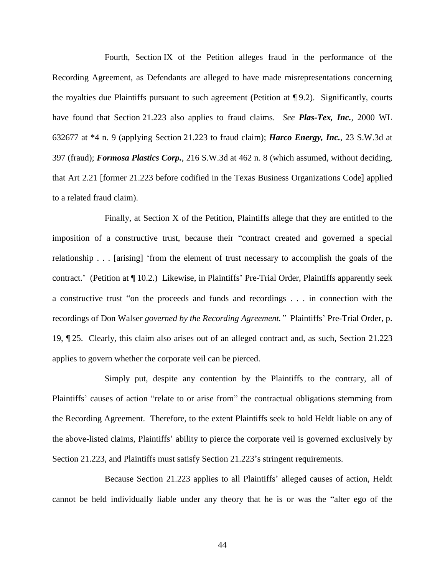Fourth, Section IX of the Petition alleges fraud in the performance of the Recording Agreement, as Defendants are alleged to have made misrepresentations concerning the royalties due Plaintiffs pursuant to such agreement (Petition at ¶ 9.2). Significantly, courts have found that Section 21.223 also applies to fraud claims. *See Plas-Tex, Inc.,* 2000 WL 632677 at \*4 n. 9 (applying Section 21.223 to fraud claim); *Harco Energy, Inc.*, 23 S.W.3d at 397 (fraud); *Formosa Plastics Corp.*, 216 S.W.3d at 462 n. 8 (which assumed, without deciding, that Art 2.21 [former 21.223 before codified in the Texas Business Organizations Code] applied to a related fraud claim).

Finally, at Section X of the Petition, Plaintiffs allege that they are entitled to the imposition of a constructive trust, because their "contract created and governed a special relationship . . . [arising] "from the element of trust necessary to accomplish the goals of the contract." (Petition at ¶ 10.2.) Likewise, in Plaintiffs" Pre-Trial Order, Plaintiffs apparently seek a constructive trust "on the proceeds and funds and recordings . . . in connection with the recordings of Don Walser *governed by the Recording Agreement*." Plaintiffs' Pre-Trial Order, p. 19, ¶ 25. Clearly, this claim also arises out of an alleged contract and, as such, Section 21.223 applies to govern whether the corporate veil can be pierced.

Simply put, despite any contention by the Plaintiffs to the contrary, all of Plaintiffs' causes of action "relate to or arise from" the contractual obligations stemming from the Recording Agreement. Therefore, to the extent Plaintiffs seek to hold Heldt liable on any of the above-listed claims, Plaintiffs" ability to pierce the corporate veil is governed exclusively by Section 21.223, and Plaintiffs must satisfy Section 21.223"s stringent requirements.

Because Section 21.223 applies to all Plaintiffs' alleged causes of action, Heldt cannot be held individually liable under any theory that he is or was the "alter ego of the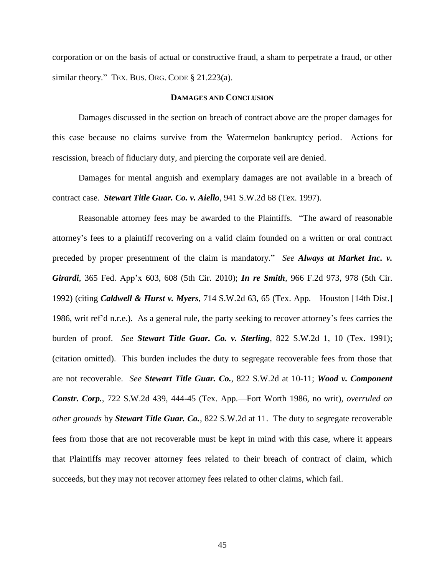corporation or on the basis of actual or constructive fraud, a sham to perpetrate a fraud, or other similar theory." TEX. BUS. ORG. CODE § 21.223(a).

### **DAMAGES AND CONCLUSION**

Damages discussed in the section on breach of contract above are the proper damages for this case because no claims survive from the Watermelon bankruptcy period. Actions for rescission, breach of fiduciary duty, and piercing the corporate veil are denied.

Damages for mental anguish and exemplary damages are not available in a breach of contract case. *Stewart Title Guar. Co. v. Aiello*, 941 S.W.2d 68 (Tex. 1997).

Reasonable attorney fees may be awarded to the Plaintiffs. "The award of reasonable attorney"s fees to a plaintiff recovering on a valid claim founded on a written or oral contract preceded by proper presentment of the claim is mandatory." *See Always at Market Inc. v. Girardi*, 365 Fed. App"x 603, 608 (5th Cir. 2010); *In re Smith*, 966 F.2d 973, 978 (5th Cir. 1992) (citing *Caldwell & Hurst v. Myers*, 714 S.W.2d 63, 65 (Tex. App.—Houston [14th Dist.] 1986, writ ref"d n.r.e.). As a general rule, the party seeking to recover attorney"s fees carries the burden of proof. *See Stewart Title Guar. Co. v. Sterling*, 822 S.W.2d 1, 10 (Tex. 1991); (citation omitted). This burden includes the duty to segregate recoverable fees from those that are not recoverable. *See Stewart Title Guar. Co.*, 822 S.W.2d at 10-11; *Wood v. Component Constr. Corp.*, 722 S.W.2d 439, 444-45 (Tex. App.—Fort Worth 1986, no writ), *overruled on other grounds* by *Stewart Title Guar. Co.*, 822 S.W.2d at 11. The duty to segregate recoverable fees from those that are not recoverable must be kept in mind with this case, where it appears that Plaintiffs may recover attorney fees related to their breach of contract of claim, which succeeds, but they may not recover attorney fees related to other claims, which fail.